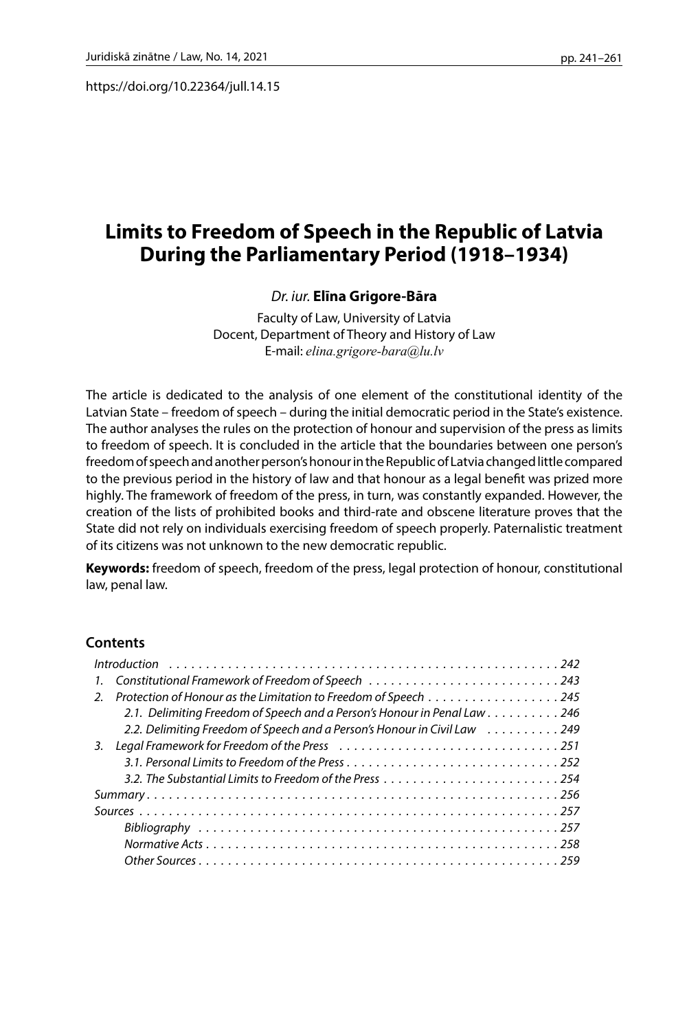https://doi.org/10.22364/jull.14.15

# **Limits to Freedom of Speech in the Republic of Latvia During the Parliamentary Period (1918–1934)**

## *Dr. iur.***Elīna Grigore-Bāra**

Faculty of Law, University of Latvia Docent, Department of Theory and History of Law E-mail: *[elina.grigore-bara@lu.lv](mailto:elina.grigore-bara@lu.lv)*

The article is dedicated to the analysis of one element of the constitutional identity of the Latvian State – freedom of speech – during the initial democratic period in the State's existence. The author analyses the rules on the protection of honour and supervision of the press as limits to freedom of speech. It is concluded in the article that the boundaries between one person's freedom of speech and another person's honour in the Republic of Latvia changed little compared to the previous period in the history of law and that honour as a legal benefit was prized more highly. The framework of freedom of the press, in turn, was constantly expanded. However, the creation of the lists of prohibited books and third-rate and obscene literature proves that the State did not rely on individuals exercising freedom of speech properly. Paternalistic treatment of its citizens was not unknown to the new democratic republic.

**Keywords:** freedom of speech, freedom of the press, legal protection of honour, constitutional law, penal law.

### **Contents**

| $\mathcal{L}$ | Protection of Honour as the Limitation to Freedom of Speech 245           |
|---------------|---------------------------------------------------------------------------|
|               | 2.1. Delimiting Freedom of Speech and a Person's Honour in Penal Law 246  |
|               | 2.2. Delimiting Freedom of Speech and a Person's Honour in Civil Law  249 |
| 3.            |                                                                           |
|               |                                                                           |
|               | 3.2. The Substantial Limits to Freedom of the Press254                    |
|               |                                                                           |
|               |                                                                           |
|               |                                                                           |
|               |                                                                           |
|               |                                                                           |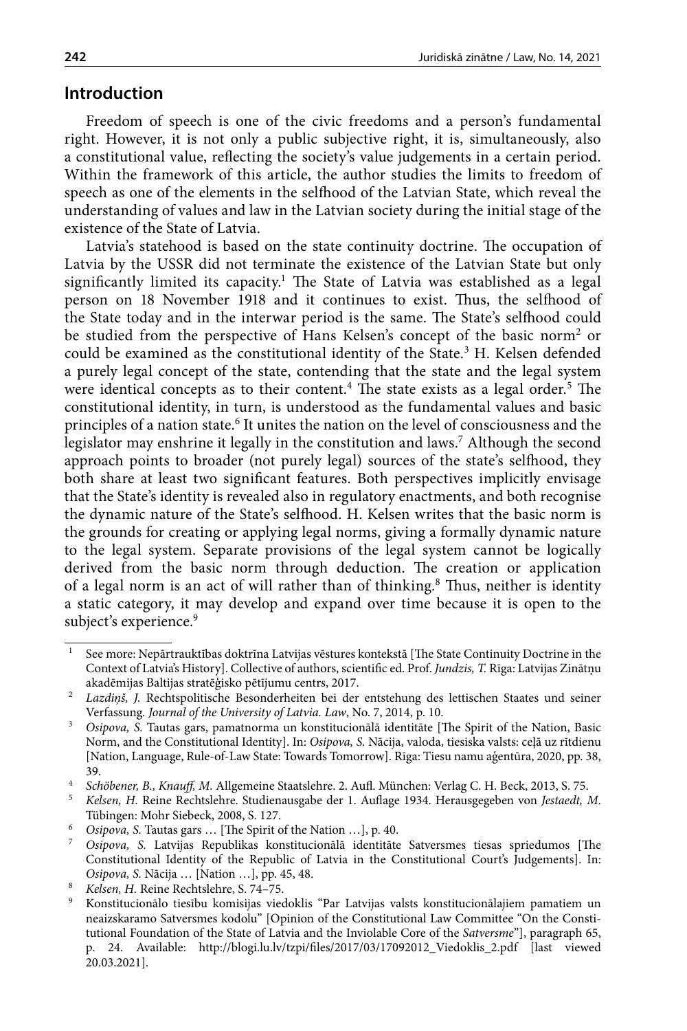# <span id="page-1-0"></span>**Introduction**

Freedom of speech is one of the civic freedoms and a person's fundamental right. However, it is not only a public subjective right, it is, simultaneously, also a constitutional value, reflecting the society's value judgements in a certain period. Within the framework of this article, the author studies the limits to freedom of speech as one of the elements in the selfhood of the Latvian State, which reveal the understanding of values and law in the Latvian society during the initial stage of the existence of the State of Latvia.

Latvia's statehood is based on the state continuity doctrine. The occupation of Latvia by the USSR did not terminate the existence of the Latvian State but only significantly limited its capacity.<sup>1</sup> The State of Latvia was established as a legal person on 18 November 1918 and it continues to exist. Thus, the selfhood of the State today and in the interwar period is the same. The State's selfhood could be studied from the perspective of Hans Kelsen's concept of the basic norm<sup>2</sup> or could be examined as the constitutional identity of the State.<sup>3</sup> H. Kelsen defended a purely legal concept of the state, contending that the state and the legal system were identical concepts as to their content.<sup>4</sup> The state exists as a legal order.<sup>5</sup> The constitutional identity, in turn, is understood as the fundamental values and basic principles of a nation state.<sup>6</sup> It unites the nation on the level of consciousness and the legislator may enshrine it legally in the constitution and laws.7 Although the second approach points to broader (not purely legal) sources of the state's selfhood, they both share at least two significant features. Both perspectives implicitly envisage that the State's identity is revealed also in regulatory enactments, and both recognise the dynamic nature of the State's selfhood. H. Kelsen writes that the basic norm is the grounds for creating or applying legal norms, giving a formally dynamic nature to the legal system. Separate provisions of the legal system cannot be logically derived from the basic norm through deduction. The creation or application of a legal norm is an act of will rather than of thinking.<sup>8</sup> Thus, neither is identity a static category, it may develop and expand over time because it is open to the subject's experience.<sup>9</sup>

<sup>&</sup>lt;sup>1</sup> See more: Nepārtrauktības doktrīna Latvijas vēstures kontekstā [The State Continuity Doctrine in the Context of Latvia's History]. Collective of authors, scientific ed. Prof. *Jundzis, T.* Rīga: Latvijas Zinātņu

akadēmijas Baltijas stratēģisko pētījumu centrs, 2017.<br><sup>2</sup> *Lazdiņš, J.* Rechtspolitische Besonderheiten bei der entstehung des lettischen Staates und seiner<br>Verfassung. Journal of the University of Latvia. Law, No. 7, 201

<sup>&</sup>lt;sup>3</sup> Osipova, S. Tautas gars, pamatnorma un konstitucionālā identitāte [The Spirit of the Nation, Basic Norm, and the Constitutional Identity]. In: *Osipova, S.* Nācija, valoda, tiesiska valsts: ceļā uz rītdienu [Nation, Language, Rule-of-Law State: Towards Tomorrow]. Rīga: Tiesu namu aģentūra, 2020, pp. 38, 39. 4 *Schöbener, B., Knauff, M.* Allgemeine Staatslehre. 2. Aufl. München: Verlag C. H. Beck, 2013, S. 75.

<sup>5</sup> *Kelsen, H.* Reine Rechtslehre. Studienausgabe der 1. Auflage 1934. Herausgegeben von *Jestaedt, M*. Tübingen: Mohr Siebeck, 2008, S. 127. 6 *Osipova, S.* Tautas gars … [The Spirit of the Nation …], p. 40.

<sup>7</sup> *Osipova, S.* Latvijas Republikas konstitucionālā identitāte Satversmes tiesas spriedumos [The Constitutional Identity of the Republic of Latvia in the Constitutional Court's Judgements]. In: *Osipova, S.* Nācija … [Nation …], pp. 45, 48.

<sup>&</sup>lt;sup>9</sup> Konstitucionālo tiesību komisijas viedoklis "Par Latvijas valsts konstitucionālajiem pamatiem un neaizskaramo Satversmes kodolu" [Opinion of the Constitutional Law Committee "On the Constitutional Foundation of the State of Latvia and the Inviolable Core of the *Satversme*"], paragraph 65, p. 24. Available: [http://blogi.lu.lv/tzpi/files/2017/03/17092012\\_Viedoklis\\_2.pdf](http://blogi.lu.lv/tzpi/files/2017/03/17092012_Viedoklis_2.pdf) [last viewed 20.03.2021].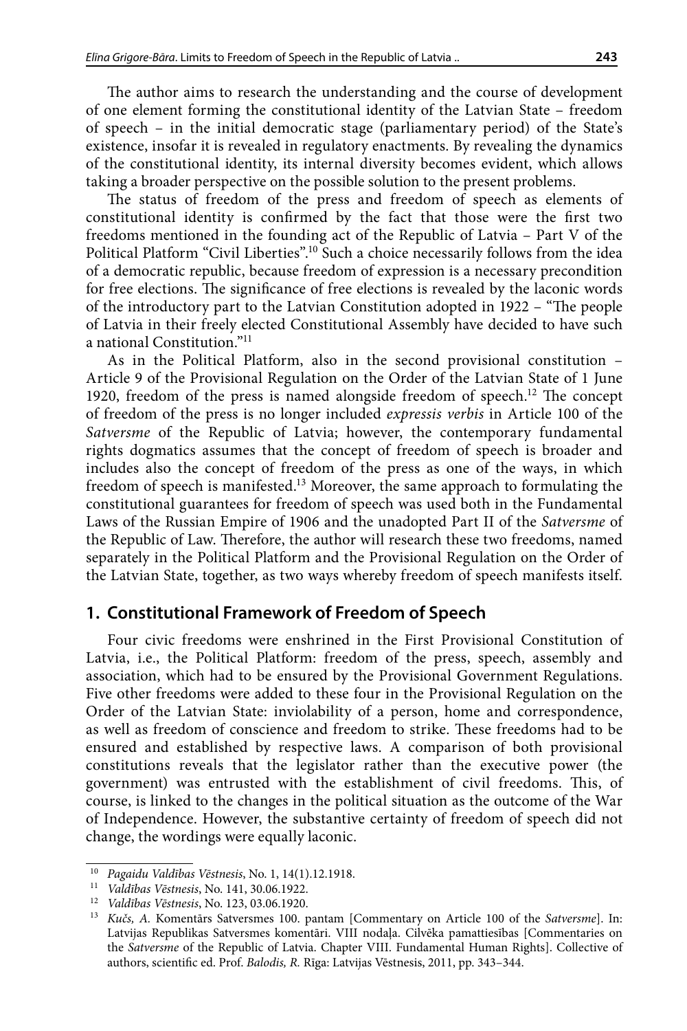<span id="page-2-0"></span>The author aims to research the understanding and the course of development of one element forming the constitutional identity of the Latvian State – freedom of speech – in the initial democratic stage (parliamentary period) of the State's existence, insofar it is revealed in regulatory enactments. By revealing the dynamics of the constitutional identity, its internal diversity becomes evident, which allows taking a broader perspective on the possible solution to the present problems.

The status of freedom of the press and freedom of speech as elements of constitutional identity is confirmed by the fact that those were the first two freedoms mentioned in the founding act of the Republic of Latvia – Part V of the Political Platform "Civil Liberties".<sup>10</sup> Such a choice necessarily follows from the idea of a democratic republic, because freedom of expression is a necessary precondition for free elections. The significance of free elections is revealed by the laconic words of the introductory part to the Latvian Constitution adopted in 1922 – "The people of Latvia in their freely elected Constitutional Assembly have decided to have such a national Constitution."11

As in the Political Platform, also in the second provisional constitution – Article 9 of the Provisional Regulation on the Order of the Latvian State of 1 June 1920, freedom of the press is named alongside freedom of speech.<sup>12</sup> The concept of freedom of the press is no longer included *expressis verbis* in Article 100 of the *Satversme* of the Republic of Latvia; however, the contemporary fundamental rights dogmatics assumes that the concept of freedom of speech is broader and includes also the concept of freedom of the press as one of the ways, in which freedom of speech is manifested.<sup>13</sup> Moreover, the same approach to formulating the constitutional guarantees for freedom of speech was used both in the Fundamental Laws of the Russian Empire of 1906 and the unadopted Part II of the *Satversme* of the Republic of Law. Therefore, the author will research these two freedoms, named separately in the Political Platform and the Provisional Regulation on the Order of the Latvian State, together, as two ways whereby freedom of speech manifests itself.

# **1. Constitutional Framework of Freedom of Speech**

Four civic freedoms were enshrined in the First Provisional Constitution of Latvia, i.e., the Political Platform: freedom of the press, speech, assembly and association, which had to be ensured by the Provisional Government Regulations. Five other freedoms were added to these four in the Provisional Regulation on the Order of the Latvian State: inviolability of a person, home and correspondence, as well as freedom of conscience and freedom to strike. These freedoms had to be ensured and established by respective laws. A comparison of both provisional constitutions reveals that the legislator rather than the executive power (the government) was entrusted with the establishment of civil freedoms. This, of course, is linked to the changes in the political situation as the outcome of the War of Independence. However, the substantive certainty of freedom of speech did not change, the wordings were equally laconic.

<sup>10</sup> *Pagaidu Valdības Vēstnesis*, No. 1, 14(1).12.1918. 11 *Valdības Vēstnesis*, No. 141, 30.06.1922.

<sup>&</sup>lt;sup>13</sup> *Kučs, A. Komentārs Satversmes 100. pantam [Commentary on Article 100 of the <i>Satversme*]. In: Latvijas Republikas Satversmes komentāri. VIII nodaļa. Cilvēka pamattiesības [Commentaries on the *Satversme* of the Republic of Latvia. Chapter VIII. Fundamental Human Rights]. Collective of authors, scientific ed. Prof. *Balodis, R.* Rīga: Latvijas Vēstnesis, 2011, pp. 343–344.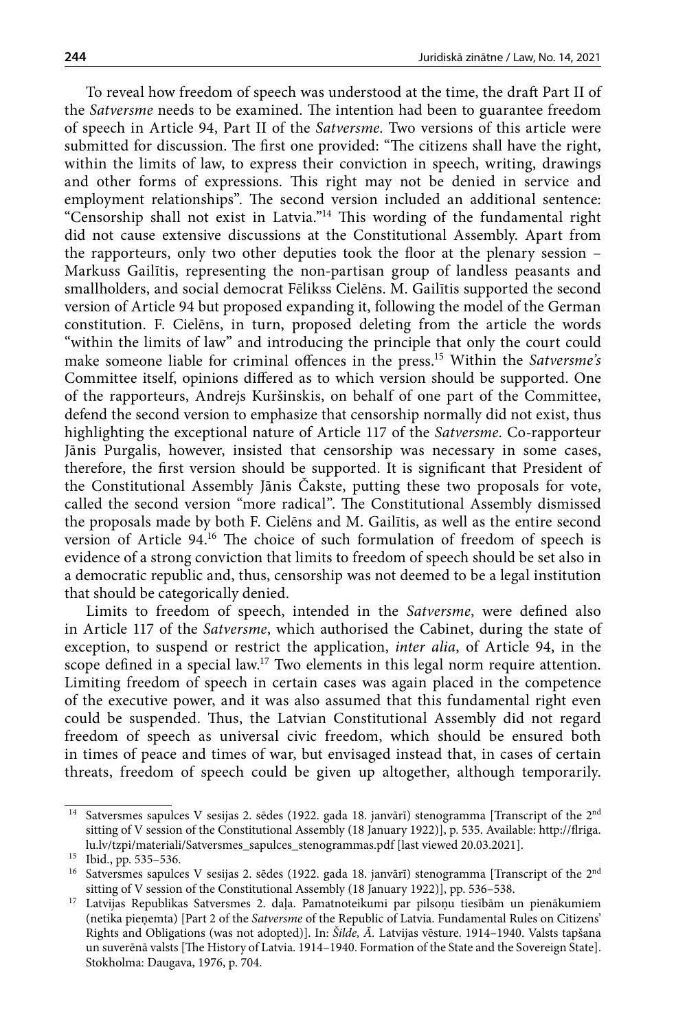To reveal how freedom of speech was understood at the time, the draft Part II of the *Satversme* needs to be examined. The intention had been to guarantee freedom of speech in Article 94, Part II of the *Satversme*. Two versions of this article were submitted for discussion. The first one provided: "The citizens shall have the right, within the limits of law, to express their conviction in speech, writing, drawings and other forms of expressions. This right may not be denied in service and employment relationships". The second version included an additional sentence: "Censorship shall not exist in Latvia."14 This wording of the fundamental right did not cause extensive discussions at the Constitutional Assembly. Apart from the rapporteurs, only two other deputies took the floor at the plenary session – Markuss Gailītis, representing the non-partisan group of landless peasants and smallholders, and social democrat Fēlikss Cielēns. M. Gailītis supported the second version of Article 94 but proposed expanding it, following the model of the German constitution. F. Cielēns, in turn, proposed deleting from the article the words "within the limits of law" and introducing the principle that only the court could make someone liable for criminal offences in the press.15 Within the *Satversme's* Committee itself, opinions differed as to which version should be supported. One of the rapporteurs, Andrejs Kuršinskis, on behalf of one part of the Committee, defend the second version to emphasize that censorship normally did not exist, thus highlighting the exceptional nature of Article 117 of the *Satversme*. Co-rapporteur Jānis Purgalis, however, insisted that censorship was necessary in some cases, therefore, the first version should be supported. It is significant that President of the Constitutional Assembly Jānis Čakste, putting these two proposals for vote, called the second version "more radical". The Constitutional Assembly dismissed the proposals made by both F. Cielēns and M. Gailītis, as well as the entire second version of Article 94.16 The choice of such formulation of freedom of speech is evidence of a strong conviction that limits to freedom of speech should be set also in a democratic republic and, thus, censorship was not deemed to be a legal institution that should be categorically denied.

Limits to freedom of speech, intended in the *Satversme*, were defined also in Article 117 of the *Satversme*, which authorised the Cabinet, during the state of exception, to suspend or restrict the application, *inter alia*, of Article 94, in the scope defined in a special law.<sup>17</sup> Two elements in this legal norm require attention. Limiting freedom of speech in certain cases was again placed in the competence of the executive power, and it was also assumed that this fundamental right even could be suspended. Thus, the Latvian Constitutional Assembly did not regard freedom of speech as universal civic freedom, which should be ensured both in times of peace and times of war, but envisaged instead that, in cases of certain threats, freedom of speech could be given up altogether, although temporarily.

<sup>&</sup>lt;sup>14</sup> Satversmes sapulces V sesijas 2. sēdes (1922. gada 18. janvārī) stenogramma [Transcript of the 2<sup>nd</sup> sitting of V session of the Constitutional Assembly (18 January 1922)], p. 535. Available: [http://flriga.](http://flriga.lu.lv/tzpi/materiali/Satversmes_sapulces_stenogrammas.pdf) [lu.lv/tzpi/materiali/Satversmes\\_sapulces\\_stenogrammas.pdf](http://flriga.lu.lv/tzpi/materiali/Satversmes_sapulces_stenogrammas.pdf) [last viewed 20.03.2021]. Ibid., pp. 535–536.

 $16$  Satversmes sapulces V sesijas 2. sēdes (1922. gada 18. janvārī) stenogramma [Transcript of the 2<sup>nd</sup> sitting of V session of the Constitutional Assembly (18 January 1922)], pp. 536–538.

<sup>&</sup>lt;sup>17</sup> Latvijas Republikas Satversmes 2. daļa. Pamatnoteikumi par pilsoņu tiesībām un pienākumiem (netika pieņemta) [Part 2 of the *Satversme* of the Republic of Latvia. Fundamental Rules on Citizens' Rights and Obligations (was not adopted)]. In: *Šilde, Ā.* Latvijas vēsture. 1914–1940. Valsts tapšana un suverēnā valsts [The History of Latvia. 1914–1940. Formation of the State and the Sovereign State]. Stokholma: Daugava, 1976, p. 704.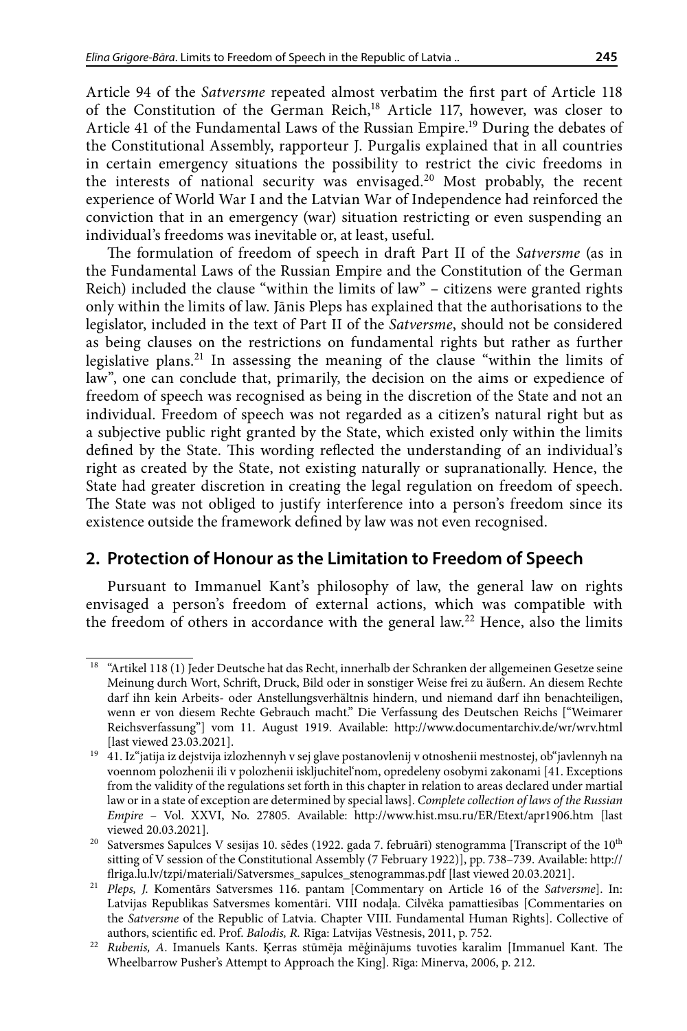<span id="page-4-0"></span>Article 94 of the *Satversme* repeated almost verbatim the first part of Article 118 of the Constitution of the German Reich,<sup>18</sup> Article 117, however, was closer to Article 41 of the Fundamental Laws of the Russian Empire.<sup>19</sup> During the debates of the Constitutional Assembly, rapporteur J. Purgalis explained that in all countries in certain emergency situations the possibility to restrict the civic freedoms in the interests of national security was envisaged.<sup>20</sup> Most probably, the recent experience of World War I and the Latvian War of Independence had reinforced the conviction that in an emergency (war) situation restricting or even suspending an individual's freedoms was inevitable or, at least, useful.

The formulation of freedom of speech in draft Part II of the *Satversme* (as in the Fundamental Laws of the Russian Empire and the Constitution of the German Reich) included the clause "within the limits of law" – citizens were granted rights only within the limits of law. Jānis Pleps has explained that the authorisations to the legislator, included in the text of Part II of the *Satversme*, should not be considered as being clauses on the restrictions on fundamental rights but rather as further legislative plans.21 In assessing the meaning of the clause "within the limits of law", one can conclude that, primarily, the decision on the aims or expedience of freedom of speech was recognised as being in the discretion of the State and not an individual. Freedom of speech was not regarded as a citizen's natural right but as a subjective public right granted by the State, which existed only within the limits defined by the State. This wording reflected the understanding of an individual's right as created by the State, not existing naturally or supranationally. Hence, the State had greater discretion in creating the legal regulation on freedom of speech. The State was not obliged to justify interference into a person's freedom since its existence outside the framework defined by law was not even recognised.

# **2. Protection of Honour as the Limitation to Freedom of Speech**

Pursuant to Immanuel Kant's philosophy of law, the general law on rights envisaged a person's freedom of external actions, which was compatible with the freedom of others in accordance with the general law.<sup>22</sup> Hence, also the limits

<sup>18</sup> "Artikel 118 (1) Jeder Deutsche hat das Recht, innerhalb der Schranken der allgemeinen Gesetze seine Meinung durch Wort, Schrift, Druck, Bild oder in sonstiger Weise frei zu äußern. An diesem Rechte darf ihn kein Arbeits- oder Anstellungsverhältnis hindern, und niemand darf ihn benachteiligen, wenn er von diesem Rechte Gebrauch macht." Die Verfassung des Deutschen Reichs ["Weimarer Reichsverfassung"] vom 11. August 1919. Available: <http://www.documentarchiv.de/wr/wrv.html> [last viewed 23.03.2021].

<sup>&</sup>lt;sup>19</sup> 41. Iz"jatija iz dejstvija izlozhennyh v sej glave postanovlenij v otnoshenii mestnostej, ob"javlennyh na voennom polozhenii ili v polozhenii iskljuchitel'nom, opredeleny osobymi zakonami [41. Exceptions from the validity of the regulations set forth in this chapter in relation to areas declared under martial law or in a state of exception are determined by special laws]. *Complete collection of laws of the Russian Empire* – Vol. XXVI, No. 27805. Available: <http://www.hist.msu.ru/ER/Etext/apr1906.htm>[last viewed 20.03.2021].

<sup>&</sup>lt;sup>20</sup> Satversmes Sapulces V sesijas 10. sēdes (1922. gada 7. februārī) stenogramma [Transcript of the 10<sup>th</sup> sitting of V session of the Constitutional Assembly (7 February 1922)], pp. 738–739. Available: [http://](http://flriga.lu.lv/tzpi/materiali/Satversmes_sapulces_stenogrammas.pdf) [flriga.lu.lv/tzpi/materiali/Satversmes\\_sapulces\\_stenogrammas.pdf](http://flriga.lu.lv/tzpi/materiali/Satversmes_sapulces_stenogrammas.pdf) [last viewed 20.03.2021].

<sup>21</sup> *Pleps, J.* Komentārs Satversmes 116. pantam [Commentary on Article 16 of the *Satversme*]. In: Latvijas Republikas Satversmes komentāri. VIII nodaļa. Cilvēka pamattiesības [Commentaries on the *Satversme* of the Republic of Latvia. Chapter VIII. Fundamental Human Rights]. Collective of

authors, scientific ed. Prof. *Balodis, R. Rīga: Latvijas Vēstnesis, 2011*, p. 752.<br>*Rubenis, A. Imanuels Kants. Kerras stūmēja mēģinājums tuvoties karalim [Immanuel Kant. The* Wheelbarrow Pusher's Attempt to Approach the King]. Rīga: Minerva, 2006, p. 212.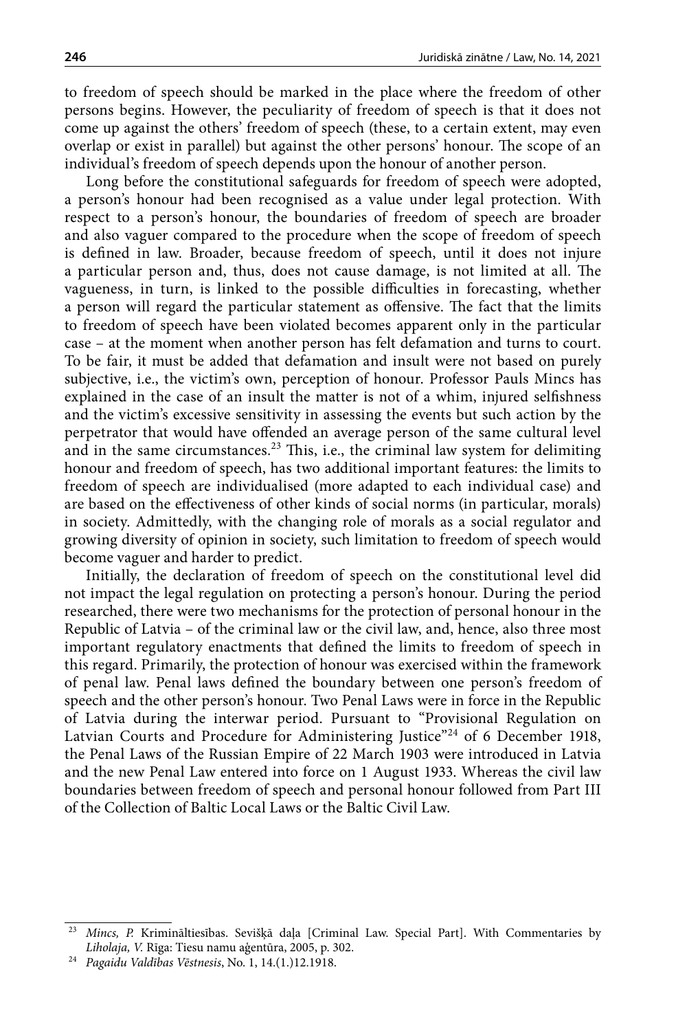<span id="page-5-0"></span>to freedom of speech should be marked in the place where the freedom of other persons begins. However, the peculiarity of freedom of speech is that it does not come up against the others' freedom of speech (these, to a certain extent, may even overlap or exist in parallel) but against the other persons' honour. The scope of an individual's freedom of speech depends upon the honour of another person.

Long before the constitutional safeguards for freedom of speech were adopted, a person's honour had been recognised as a value under legal protection. With respect to a person's honour, the boundaries of freedom of speech are broader and also vaguer compared to the procedure when the scope of freedom of speech is defined in law. Broader, because freedom of speech, until it does not injure a particular person and, thus, does not cause damage, is not limited at all. The vagueness, in turn, is linked to the possible difficulties in forecasting, whether a person will regard the particular statement as offensive. The fact that the limits to freedom of speech have been violated becomes apparent only in the particular case – at the moment when another person has felt defamation and turns to court. To be fair, it must be added that defamation and insult were not based on purely subjective, i.e., the victim's own, perception of honour. Professor Pauls Mincs has explained in the case of an insult the matter is not of a whim, injured selfishness and the victim's excessive sensitivity in assessing the events but such action by the perpetrator that would have offended an average person of the same cultural level and in the same circumstances.<sup>23</sup> This, i.e., the criminal law system for delimiting honour and freedom of speech, has two additional important features: the limits to freedom of speech are individualised (more adapted to each individual case) and are based on the effectiveness of other kinds of social norms (in particular, morals) in society. Admittedly, with the changing role of morals as a social regulator and growing diversity of opinion in society, such limitation to freedom of speech would become vaguer and harder to predict.

Initially, the declaration of freedom of speech on the constitutional level did not impact the legal regulation on protecting a person's honour. During the period researched, there were two mechanisms for the protection of personal honour in the Republic of Latvia – of the criminal law or the civil law, and, hence, also three most important regulatory enactments that defined the limits to freedom of speech in this regard. Primarily, the protection of honour was exercised within the framework of penal law. Penal laws defined the boundary between one person's freedom of speech and the other person's honour. Two Penal Laws were in force in the Republic of Latvia during the interwar period. Pursuant to "Provisional Regulation on Latvian Courts and Procedure for Administering Justice"<sup>24</sup> of 6 December 1918, the Penal Laws of the Russian Empire of 22 March 1903 were introduced in Latvia and the new Penal Law entered into force on 1 August 1933. Whereas the civil law boundaries between freedom of speech and personal honour followed from Part III of the Collection of Baltic Local Laws or the Baltic Civil Law.

<sup>23</sup> *Mincs, P.* Krimināltiesības. Sevišķā daļa [Criminal Law. Special Part]. With Commentaries by

<sup>&</sup>lt;sup>24</sup> Pagaidu Valdības Vēstnesis, No. 1, 14.(1.)12.1918.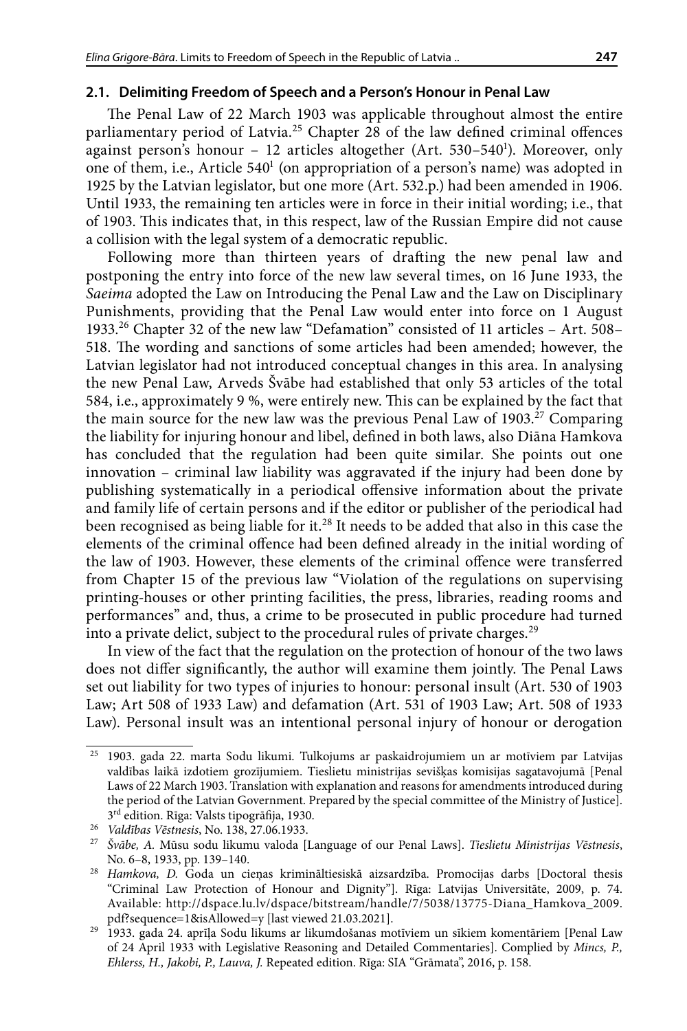#### **2.1. Delimiting Freedom of Speech and a Person's Honour in Penal Law**

The Penal Law of 22 March 1903 was applicable throughout almost the entire parliamentary period of Latvia.<sup>25</sup> Chapter 28 of the law defined criminal offences against person's honour – 12 articles altogether (Art. 530–540<sup>1</sup>). Moreover, only one of them, i.e., Article 540<sup>1</sup> (on appropriation of a person's name) was adopted in 1925 by the Latvian legislator, but one more (Art. 532.p.) had been amended in 1906. Until 1933, the remaining ten articles were in force in their initial wording; i.e., that of 1903. This indicates that, in this respect, law of the Russian Empire did not cause a collision with the legal system of a democratic republic.

Following more than thirteen years of drafting the new penal law and postponing the entry into force of the new law several times, on 16 June 1933, the *Saeima* adopted the Law on Introducing the Penal Law and the Law on Disciplinary Punishments, providing that the Penal Law would enter into force on 1 August 1933.26 Chapter 32 of the new law "Defamation" consisted of 11 articles – Art. 508– 518. The wording and sanctions of some articles had been amended; however, the Latvian legislator had not introduced conceptual changes in this area. In analysing the new Penal Law, Arveds Švābe had established that only 53 articles of the total 584, i.e., approximately 9 %, were entirely new. This can be explained by the fact that the main source for the new law was the previous Penal Law of  $1903.<sup>27</sup>$  Comparing the liability for injuring honour and libel, defined in both laws, also Diāna Hamkova has concluded that the regulation had been quite similar. She points out one innovation – criminal law liability was aggravated if the injury had been done by publishing systematically in a periodical offensive information about the private and family life of certain persons and if the editor or publisher of the periodical had been recognised as being liable for it.<sup>28</sup> It needs to be added that also in this case the elements of the criminal offence had been defined already in the initial wording of the law of 1903. However, these elements of the criminal offence were transferred from Chapter 15 of the previous law "Violation of the regulations on supervising printing-houses or other printing facilities, the press, libraries, reading rooms and performances" and, thus, a crime to be prosecuted in public procedure had turned into a private delict, subject to the procedural rules of private charges.29

In view of the fact that the regulation on the protection of honour of the two laws does not differ significantly, the author will examine them jointly. The Penal Laws set out liability for two types of injuries to honour: personal insult (Art. 530 of 1903 Law; Art 508 of 1933 Law) and defamation (Art. 531 of 1903 Law; Art. 508 of 1933 Law). Personal insult was an intentional personal injury of honour or derogation

<sup>25</sup> 1903. gada 22. marta Sodu likumi. Tulkojums ar paskaidrojumiem un ar motīviem par Latvijas valdības laikā izdotiem grozījumiem. Tieslietu ministrijas sevišķas komisijas sagatavojumā [Penal Laws of 22 March 1903. Translation with explanation and reasons for amendments introduced during the period of the Latvian Government. Prepared by the special committee of the Ministry of Justice].  $3^{\rm rd}$ edition. Rīga: Valsts tipogrāfija, 1930. Valdības Vēstnesis, No. 138, 27.06.1933.

<sup>&</sup>lt;sup>27</sup> Švābe, A. Mūsu sodu likumu valoda [Language of our Penal Laws]. *Tieslietu Ministrijas Vēstnesis*, No. 6–8, 1933, pp. 139–140. 28 *Hamkova, D.* Goda un cieņas krimināltiesiskā aizsardzība. Promocijas darbs [Doctoral thesis

<sup>&</sup>quot;Criminal Law Protection of Honour and Dignity"]. Rīga: Latvijas Universitāte, 2009, p. 74. Available: [http://dspace.lu.lv/dspace/bitstream/handle/7/5038/13775-Diana\\_Hamkova\\_2009.](http://dspace.lu.lv/dspace/bitstream/handle/7/5038/13775-Diana_Hamkova_2009.pdf?sequence=1&isAllowed=y) [pdf?sequence=1&isAllowed=y](http://dspace.lu.lv/dspace/bitstream/handle/7/5038/13775-Diana_Hamkova_2009.pdf?sequence=1&isAllowed=y) [last viewed 21.03.2021].

<sup>29</sup> 1933. gada 24. aprīļa Sodu likums ar likumdošanas motīviem un sīkiem komentāriem [Penal Law of 24 April 1933 with Legislative Reasoning and Detailed Commentaries]. Complied by *Mincs, P., Ehlerss, H., Jakobi, P., Lauva, J.* Repeated edition. Rīga: SIA "Grāmata", 2016, p. 158.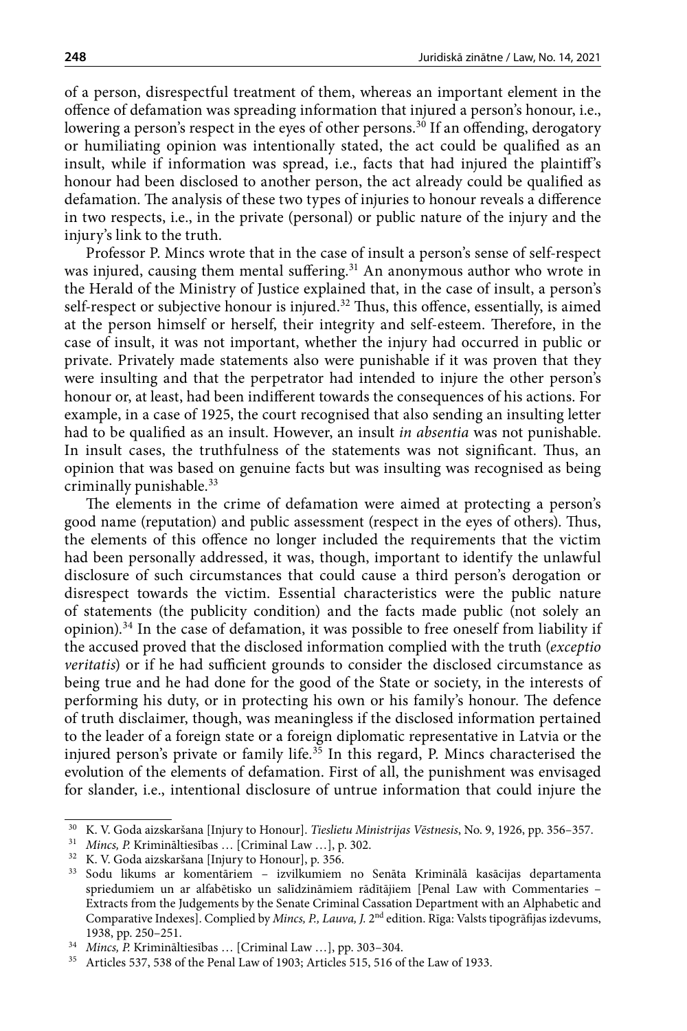of a person, disrespectful treatment of them, whereas an important element in the offence of defamation was spreading information that injured a person's honour, i.e., lowering a person's respect in the eyes of other persons.<sup>30</sup> If an offending, derogatory or humiliating opinion was intentionally stated, the act could be qualified as an insult, while if information was spread, i.e., facts that had injured the plaintiff's honour had been disclosed to another person, the act already could be qualified as defamation. The analysis of these two types of injuries to honour reveals a difference in two respects, i.e., in the private (personal) or public nature of the injury and the injury's link to the truth.

Professor P. Mincs wrote that in the case of insult a person's sense of self-respect was injured, causing them mental suffering.<sup>31</sup> An anonymous author who wrote in the Herald of the Ministry of Justice explained that, in the case of insult, a person's self-respect or subjective honour is injured.<sup>32</sup> Thus, this offence, essentially, is aimed at the person himself or herself, their integrity and self-esteem. Therefore, in the case of insult, it was not important, whether the injury had occurred in public or private. Privately made statements also were punishable if it was proven that they were insulting and that the perpetrator had intended to injure the other person's honour or, at least, had been indifferent towards the consequences of his actions. For example, in a case of 1925, the court recognised that also sending an insulting letter had to be qualified as an insult. However, an insult *in absentia* was not punishable. In insult cases, the truthfulness of the statements was not significant. Thus, an opinion that was based on genuine facts but was insulting was recognised as being criminally punishable.<sup>33</sup>

The elements in the crime of defamation were aimed at protecting a person's good name (reputation) and public assessment (respect in the eyes of others). Thus, the elements of this offence no longer included the requirements that the victim had been personally addressed, it was, though, important to identify the unlawful disclosure of such circumstances that could cause a third person's derogation or disrespect towards the victim. Essential characteristics were the public nature of statements (the publicity condition) and the facts made public (not solely an opinion).<sup>34</sup> In the case of defamation, it was possible to free oneself from liability if the accused proved that the disclosed information complied with the truth (*exceptio veritatis*) or if he had sufficient grounds to consider the disclosed circumstance as being true and he had done for the good of the State or society, in the interests of performing his duty, or in protecting his own or his family's honour. The defence of truth disclaimer, though, was meaningless if the disclosed information pertained to the leader of a foreign state or a foreign diplomatic representative in Latvia or the injured person's private or family life.<sup>35</sup> In this regard, P. Mincs characterised the evolution of the elements of defamation. First of all, the punishment was envisaged for slander, i.e., intentional disclosure of untrue information that could injure the

<sup>30</sup> K. V. Goda aizskaršana [Injury to Honour]. *Tieslietu Ministrijas Vēstnesis*, No. 9, 1926, pp. 356–357.

<sup>31</sup> *Mincs, P.* Krimināltiesības … [Criminal Law …], p. 302.

<sup>32</sup> K. V. Goda aizskaršana [Injury to Honour], p. 356.

<sup>33</sup> Sodu likums ar komentāriem – izvilkumiem no Senāta Kriminālā kasācijas departamenta spriedumiem un ar alfabētisko un salīdzināmiem rādītājiem [Penal Law with Commentaries – Extracts from the Judgements by the Senate Criminal Cassation Department with an Alphabetic and Comparative Indexes]. Complied by *Mincs, P., Lauva, J.* 2nd edition. Rīga: Valsts tipogrāfijas izdevums, 1938, pp. 250–251.

<sup>34</sup> *Mincs, P.* Krimināltiesības … [Criminal Law …], pp. 303–304.

<sup>35</sup> Articles 537, 538 of the Penal Law of 1903; Articles 515, 516 of the Law of 1933.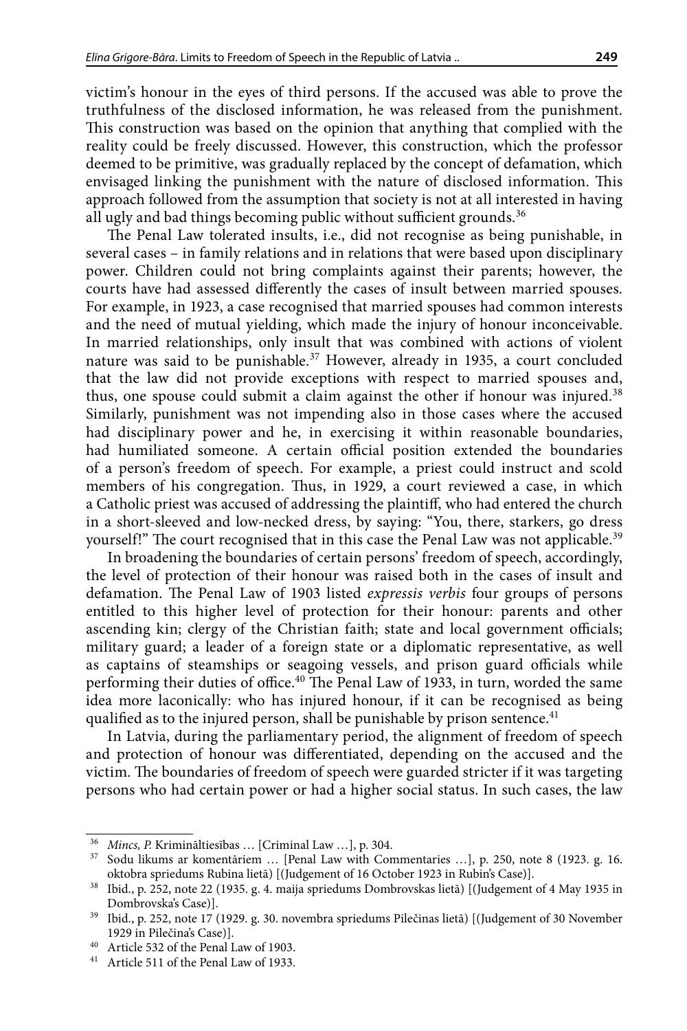<span id="page-8-0"></span>victim's honour in the eyes of third persons. If the accused was able to prove the truthfulness of the disclosed information, he was released from the punishment. This construction was based on the opinion that anything that complied with the reality could be freely discussed. However, this construction, which the professor deemed to be primitive, was gradually replaced by the concept of defamation, which envisaged linking the punishment with the nature of disclosed information. This approach followed from the assumption that society is not at all interested in having all ugly and bad things becoming public without sufficient grounds.<sup>36</sup>

The Penal Law tolerated insults, i.e., did not recognise as being punishable, in several cases – in family relations and in relations that were based upon disciplinary power. Children could not bring complaints against their parents; however, the courts have had assessed differently the cases of insult between married spouses. For example, in 1923, a case recognised that married spouses had common interests and the need of mutual yielding, which made the injury of honour inconceivable. In married relationships, only insult that was combined with actions of violent nature was said to be punishable.<sup>37</sup> However, already in 1935, a court concluded that the law did not provide exceptions with respect to married spouses and, thus, one spouse could submit a claim against the other if honour was injured.<sup>38</sup> Similarly, punishment was not impending also in those cases where the accused had disciplinary power and he, in exercising it within reasonable boundaries, had humiliated someone. A certain official position extended the boundaries of a person's freedom of speech. For example, a priest could instruct and scold members of his congregation. Thus, in 1929, a court reviewed a case, in which a Catholic priest was accused of addressing the plaintiff, who had entered the church in a short-sleeved and low-necked dress, by saying: "You, there, starkers, go dress yourself!" The court recognised that in this case the Penal Law was not applicable.<sup>39</sup>

In broadening the boundaries of certain persons' freedom of speech, accordingly, the level of protection of their honour was raised both in the cases of insult and defamation. The Penal Law of 1903 listed *expressis verbis* four groups of persons entitled to this higher level of protection for their honour: parents and other ascending kin; clergy of the Christian faith; state and local government officials; military guard; a leader of a foreign state or a diplomatic representative, as well as captains of steamships or seagoing vessels, and prison guard officials while performing their duties of office.40 The Penal Law of 1933, in turn, worded the same idea more laconically: who has injured honour, if it can be recognised as being qualified as to the injured person, shall be punishable by prison sentence.<sup>41</sup>

In Latvia, during the parliamentary period, the alignment of freedom of speech and protection of honour was differentiated, depending on the accused and the victim. The boundaries of freedom of speech were guarded stricter if it was targeting persons who had certain power or had a higher social status. In such cases, the law

<sup>36</sup> *Mincs, P.* Krimināltiesības … [Criminal Law …], p. 304.

<sup>37</sup> Sodu likums ar komentāriem … [Penal Law with Commentaries …], p. 250, note 8 (1923. g. 16.

oktobra spriedums Rubina lietā) [(Judgement of 16 October 1923 in Rubin's Case)]. 38 Ibid., p. 252, note 22 (1935. g. 4. maija spriedums Dombrovskas lietā) [(Judgement of 4 May 1935 in Dombrovska's Case)]. 39 Ibid., p. 252, note 17 (1929. g. 30. novembra spriedums Pilečinas lietā) [(Judgement of 30 November

<sup>1929</sup> in Pilečina's Case)].

<sup>40</sup> Article 532 of the Penal Law of 1903.

<sup>41</sup> Article 511 of the Penal Law of 1933.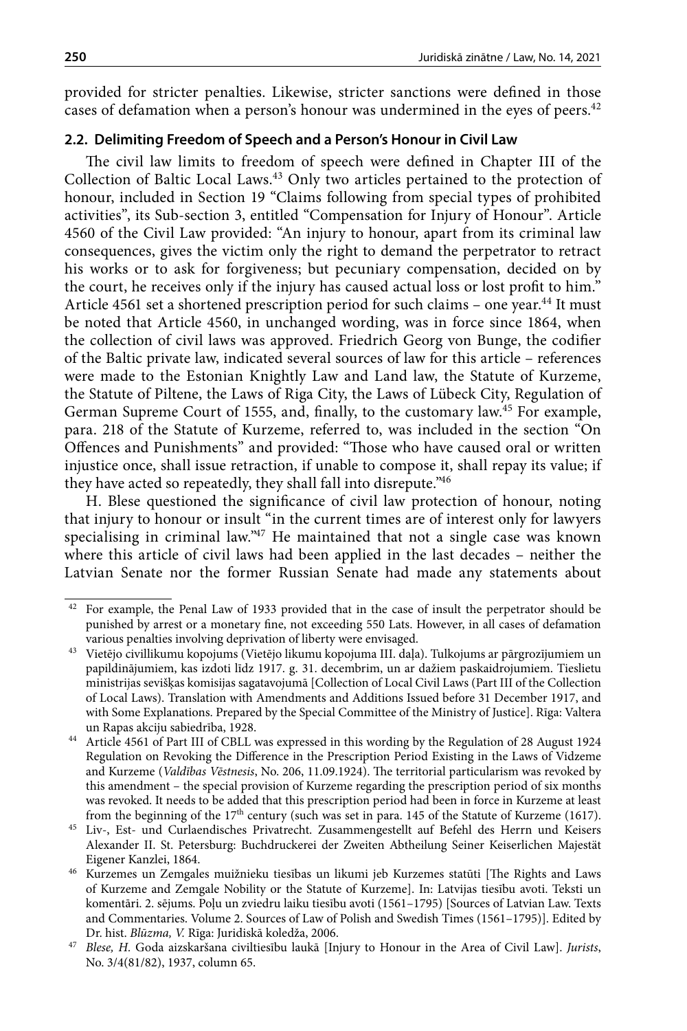provided for stricter penalties. Likewise, stricter sanctions were defined in those cases of defamation when a person's honour was undermined in the eyes of peers.<sup>42</sup>

# **2.2. Delimiting Freedom of Speech and a Person's Honour in Civil Law**

The civil law limits to freedom of speech were defined in Chapter III of the Collection of Baltic Local Laws.<sup>43</sup> Only two articles pertained to the protection of honour, included in Section 19 "Claims following from special types of prohibited activities", its Sub-section 3, entitled "Compensation for Injury of Honour". Article 4560 of the Civil Law provided: "An injury to honour, apart from its criminal law consequences, gives the victim only the right to demand the perpetrator to retract his works or to ask for forgiveness; but pecuniary compensation, decided on by the court, he receives only if the injury has caused actual loss or lost profit to him." Article 4561 set a shortened prescription period for such claims - one year.<sup>44</sup> It must be noted that Article 4560, in unchanged wording, was in force since 1864, when the collection of civil laws was approved. Friedrich Georg von Bunge, the codifier of the Baltic private law, indicated several sources of law for this article – references were made to the Estonian Knightly Law and Land law, the Statute of Kurzeme, the Statute of Piltene, the Laws of Riga City, the Laws of Lübeck City, Regulation of German Supreme Court of 1555, and, finally, to the customary law.<sup>45</sup> For example, para. 218 of the Statute of Kurzeme, referred to, was included in the section "On Offences and Punishments" and provided: "Those who have caused oral or written injustice once, shall issue retraction, if unable to compose it, shall repay its value; if they have acted so repeatedly, they shall fall into disrepute."46

H. Blese questioned the significance of civil law protection of honour, noting that injury to honour or insult "in the current times are of interest only for lawyers specialising in criminal law."<sup>47</sup> He maintained that not a single case was known where this article of civil laws had been applied in the last decades – neither the Latvian Senate nor the former Russian Senate had made any statements about

<sup>&</sup>lt;sup>42</sup> For example, the Penal Law of 1933 provided that in the case of insult the perpetrator should be punished by arrest or a monetary fine, not exceeding 550 Lats. However, in all cases of defamation various penalties involving deprivation of liberty were envisaged.

<sup>43</sup> Vietējo civillikumu kopojums (Vietējo likumu kopojuma III. daļa). Tulkojums ar pārgrozījumiem un papildinājumiem, kas izdoti līdz 1917. g. 31. decembrim, un ar dažiem paskaidrojumiem. Tieslietu ministrijas sevišķas komisijas sagatavojumā [Collection of Local Civil Laws (Part III of the Collection of Local Laws). Translation with Amendments and Additions Issued before 31 December 1917, and with Some Explanations. Prepared by the Special Committee of the Ministry of Justice]. Rīga: Valtera

un Rapas akciju sabiedrība, 1928. 44 Article 4561 of Part III of CBLL was expressed in this wording by the Regulation of 28 August 1924 Regulation on Revoking the Difference in the Prescription Period Existing in the Laws of Vidzeme and Kurzeme (*Valdības Vēstnesis*, No. 206, 11.09.1924). The territorial particularism was revoked by this amendment – the special provision of Kurzeme regarding the prescription period of six months was revoked. It needs to be added that this prescription period had been in force in Kurzeme at least from the beginning of the  $17<sup>th</sup>$  century (such was set in para. 145 of the Statute of Kurzeme (1617).

<sup>45</sup> Liv-, Est- und Curlaendisches Privatrecht. Zusammengestellt auf Befehl des Herrn und Keisers Alexander II. St. Petersburg: Buchdruckerei der Zweiten Abtheilung Seiner Keiserlichen Majestät

Kurzemes un Zemgales muižnieku tiesības un likumi jeb Kurzemes statūti [The Rights and Laws of Kurzeme and Zemgale Nobility or the Statute of Kurzeme]. In: Latvijas tiesību avoti. Teksti un komentāri. 2. sējums. Poļu un zviedru laiku tiesību avoti (1561–1795) [Sources of Latvian Law. Texts and Commentaries. Volume 2. Sources of Law of Polish and Swedish Times (1561–1795)]. Edited by

Dr. hist. *Blūzma, V.* Rīga: Juridiskā koledža, 2006. 47 *Blese, H.* Goda aizskaršana civiltiesību laukā [Injury to Honour in the Area of Civil Law]. *Jurists*, No. 3/4(81/82), 1937, column 65.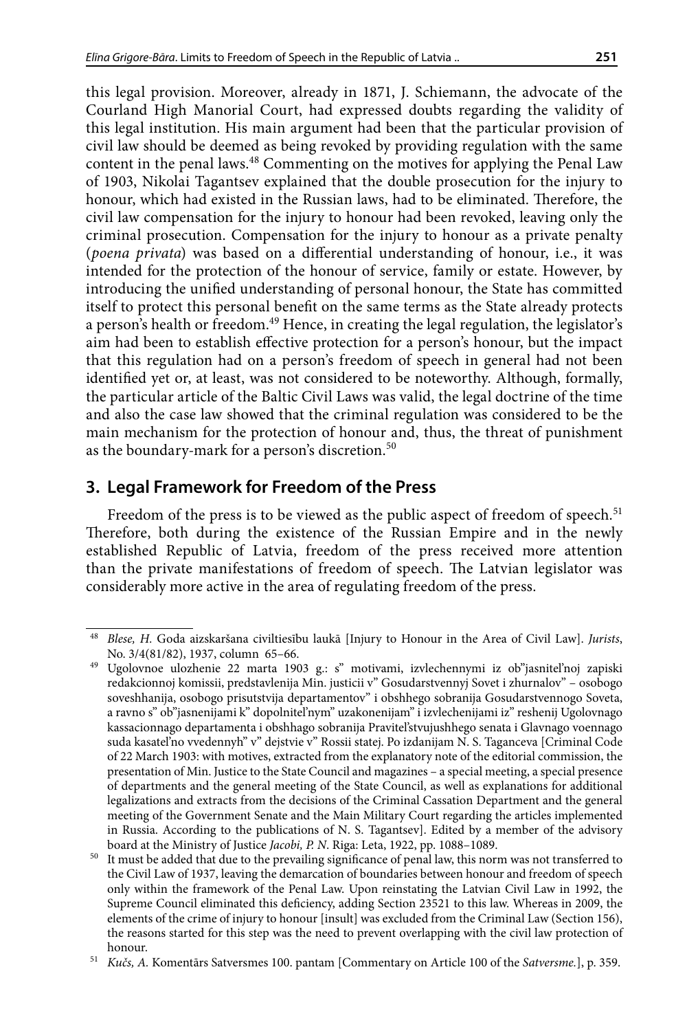<span id="page-10-0"></span>this legal provision. Moreover, already in 1871, J. Schiemann, the advocate of the Courland High Manorial Court, had expressed doubts regarding the validity of this legal institution. His main argument had been that the particular provision of civil law should be deemed as being revoked by providing regulation with the same content in the penal laws.<sup>48</sup> Commenting on the motives for applying the Penal Law of 1903, Nikolai Tagantsev explained that the double prosecution for the injury to honour, which had existed in the Russian laws, had to be eliminated. Therefore, the civil law compensation for the injury to honour had been revoked, leaving only the criminal prosecution. Compensation for the injury to honour as a private penalty (*poena privata*) was based on a differential understanding of honour, i.e., it was intended for the protection of the honour of service, family or estate. However, by introducing the unified understanding of personal honour, the State has committed itself to protect this personal benefit on the same terms as the State already protects a person's health or freedom.49 Hence, in creating the legal regulation, the legislator's aim had been to establish effective protection for a person's honour, but the impact that this regulation had on a person's freedom of speech in general had not been identified yet or, at least, was not considered to be noteworthy. Although, formally, the particular article of the Baltic Civil Laws was valid, the legal doctrine of the time and also the case law showed that the criminal regulation was considered to be the main mechanism for the protection of honour and, thus, the threat of punishment as the boundary-mark for a person's discretion.<sup>50</sup>

# **3. Legal Framework for Freedom of the Press**

Freedom of the press is to be viewed as the public aspect of freedom of speech.<sup>51</sup> Therefore, both during the existence of the Russian Empire and in the newly established Republic of Latvia, freedom of the press received more attention than the private manifestations of freedom of speech. The Latvian legislator was considerably more active in the area of regulating freedom of the press.

<sup>48</sup> *Blese, H.* Goda aizskaršana civiltiesību laukā [Injury to Honour in the Area of Civil Law]. *Jurists*, No. 3/4(81/82), 1937, column 65–66.

<sup>49</sup> Ugolovnoe ulozhenie 22 marta 1903 g.: s" motivami, izvlechennymi iz ob"jasnitel'noj zapiski redakcionnoj komissii, predstavlenija Min. justicii v" Gosudarstvennyj Sovet i zhurnalov" – osobogo soveshhanija, osobogo prisutstvija departamentov" i obshhego sobranija Gosudarstvennogo Soveta, a ravno s" ob"jasnenijami k" dopolnitel'nym" uzakonenijam" i izvlechenijami iz" reshenij Ugolovnago kassacionnago departamenta i obshhago sobranija Pravitel'stvujushhego senata i Glavnago voennago suda kasatel'no vvedennyh" v" dejstvie v" Rossii statej. Po izdanijam N. S. Taganceva [Criminal Code of 22 March 1903: with motives, extracted from the explanatory note of the editorial commission, the presentation of Min. Justice to the State Council and magazines – a special meeting, a special presence of departments and the general meeting of the State Council, as well as explanations for additional legalizations and extracts from the decisions of the Criminal Cassation Department and the general meeting of the Government Senate and the Main Military Court regarding the articles implemented in Russia. According to the publications of N. S. Tagantsev]. Edited by a member of the advisory board at the Ministry of Justice *Jacobi, P. N*. Riga: Leta, 1922, pp. 1088–1089. 50 It must be added that due to the prevailing significance of penal law, this norm was not transferred to

the Civil Law of 1937, leaving the demarcation of boundaries between honour and freedom of speech only within the framework of the Penal Law. Upon reinstating the Latvian Civil Law in 1992, the Supreme Council eliminated this deficiency, adding Section 23521 to this law. Whereas in 2009, the elements of the crime of injury to honour [insult] was excluded from the Criminal Law (Section 156), the reasons started for this step was the need to prevent overlapping with the civil law protection of honour.

<sup>51</sup> *Kučs, A.* Komentārs Satversmes 100. pantam [Commentary on Article 100 of the *Satversme.*], p. 359.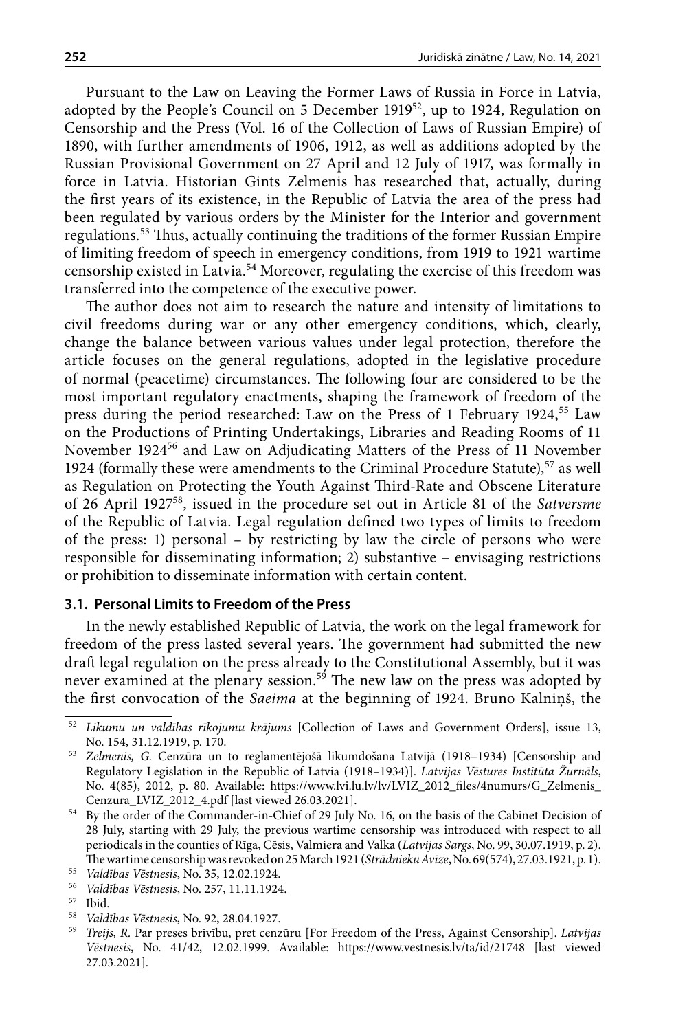<span id="page-11-0"></span>Pursuant to the Law on Leaving the Former Laws of Russia in Force in Latvia, adopted by the People's Council on 5 December 1919<sup>52</sup>, up to 1924, Regulation on Censorship and the Press (Vol. 16 of the Collection of Laws of Russian Empire) of 1890, with further amendments of 1906, 1912, as well as additions adopted by the Russian Provisional Government on 27 April and 12 July of 1917, was formally in force in Latvia. Historian Gints Zelmenis has researched that, actually, during the first years of its existence, in the Republic of Latvia the area of the press had been regulated by various orders by the Minister for the Interior and government regulations.53 Thus, actually continuing the traditions of the former Russian Empire of limiting freedom of speech in emergency conditions, from 1919 to 1921 wartime censorship existed in Latvia.54 Moreover, regulating the exercise of this freedom was transferred into the competence of the executive power.

The author does not aim to research the nature and intensity of limitations to civil freedoms during war or any other emergency conditions, which, clearly, change the balance between various values under legal protection, therefore the article focuses on the general regulations, adopted in the legislative procedure of normal (peacetime) circumstances. The following four are considered to be the most important regulatory enactments, shaping the framework of freedom of the press during the period researched: Law on the Press of 1 February 1924,<sup>55</sup> Law on the Productions of Printing Undertakings, Libraries and Reading Rooms of 11 November 1924<sup>56</sup> and Law on Adjudicating Matters of the Press of 11 November 1924 (formally these were amendments to the Criminal Procedure Statute),  $57$  as well as Regulation on Protecting the Youth Against Third-Rate and Obscene Literature of 26 April 192758, issued in the procedure set out in Article 81 of the *Satversme* of the Republic of Latvia. Legal regulation defined two types of limits to freedom of the press: 1) personal – by restricting by law the circle of persons who were responsible for disseminating information; 2) substantive – envisaging restrictions or prohibition to disseminate information with certain content.

#### **3.1. Personal Limits to Freedom of the Press**

In the newly established Republic of Latvia, the work on the legal framework for freedom of the press lasted several years. The government had submitted the new draft legal regulation on the press already to the Constitutional Assembly, but it was never examined at the plenary session.<sup>59</sup> The new law on the press was adopted by the first convocation of the *Saeima* at the beginning of 1924. Bruno Kalniņš, the

<sup>58</sup> *Valdības Vēstnesis*, No. 92, 28.04.1927.

<sup>52</sup> *Likumu un valdības rīkojumu krājums* [Collection of Laws and Government Orders], issue 13, No. 154, 31.12.1919, p. 170.

<sup>53</sup> *Zelmenis, G.* Cenzūra un to reglamentējošā likumdošana Latvijā (1918–1934) [Censorship and Regulatory Legislation in the Republic of Latvia (1918–1934)]. *Latvijas Vēstures Institūta Žurnāls*, No. 4(85), 2012, p. 80. Available: [https://www.lvi.lu.lv/lv/LVIZ\\_2012\\_files/4numurs/G\\_Zelmenis\\_](https://www.lvi.lu.lv/lv/LVIZ_2012_files/4numurs/G_Zelmenis_Cenzura_LVIZ_2012_4.pdf)

[Cenzura\\_LVIZ\\_2012\\_4.pdf](https://www.lvi.lu.lv/lv/LVIZ_2012_files/4numurs/G_Zelmenis_Cenzura_LVIZ_2012_4.pdf) [last viewed 26.03.2021]. 54 By the order of the Commander-in-Chief of 29 July No. 16, on the basis of the Cabinet Decision of 28 July, starting with 29 July, the previous wartime censorship was introduced with respect to all periodicals in the counties of Rīga, Cēsis, Valmiera and Valka (*Latvijas Sargs*, No. 99, 30.07.1919, p. 2). The wartime censorship was revoked on 25 March 1921 (*Strādnieku Avīze*, No. 69(574), 27.03.1921, p. 1). 55 *Valdības Vēstnesis*, No. 35, 12.02.1924.

<sup>56</sup> *Valdības Vēstnesis*, No. 257, 11.11.1924.

<sup>57</sup> Ibid.

<sup>59</sup> *Treijs, R.* Par preses brīvību, pret cenzūru [For Freedom of the Press, Against Censorship]. *Latvijas Vēstnesis*, No. 41/42, 12.02.1999. Available: <https://www.vestnesis.lv/ta/id/21748> [last viewed 27.03.2021].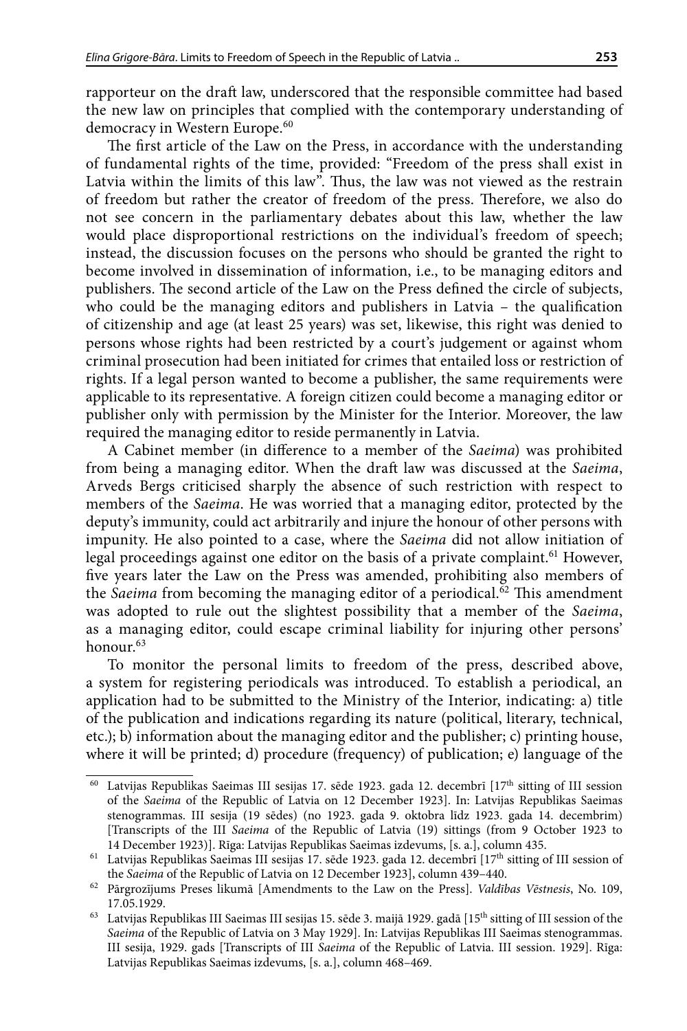rapporteur on the draft law, underscored that the responsible committee had based the new law on principles that complied with the contemporary understanding of democracy in Western Europe.<sup>60</sup>

The first article of the Law on the Press, in accordance with the understanding of fundamental rights of the time, provided: "Freedom of the press shall exist in Latvia within the limits of this law". Thus, the law was not viewed as the restrain of freedom but rather the creator of freedom of the press. Therefore, we also do not see concern in the parliamentary debates about this law, whether the law would place disproportional restrictions on the individual's freedom of speech; instead, the discussion focuses on the persons who should be granted the right to become involved in dissemination of information, i.e., to be managing editors and publishers. The second article of the Law on the Press defined the circle of subjects, who could be the managing editors and publishers in Latvia – the qualification of citizenship and age (at least 25 years) was set, likewise, this right was denied to persons whose rights had been restricted by a court's judgement or against whom criminal prosecution had been initiated for crimes that entailed loss or restriction of rights. If a legal person wanted to become a publisher, the same requirements were applicable to its representative. A foreign citizen could become a managing editor or publisher only with permission by the Minister for the Interior. Moreover, the law required the managing editor to reside permanently in Latvia.

A Cabinet member (in difference to a member of the *Saeima*) was prohibited from being a managing editor. When the draft law was discussed at the *Saeima*, Arveds Bergs criticised sharply the absence of such restriction with respect to members of the *Saeima*. He was worried that a managing editor, protected by the deputy's immunity, could act arbitrarily and injure the honour of other persons with impunity. He also pointed to a case, where the *Saeima* did not allow initiation of legal proceedings against one editor on the basis of a private complaint.<sup>61</sup> However, five years later the Law on the Press was amended, prohibiting also members of the *Saeima* from becoming the managing editor of a periodical.<sup>62</sup> This amendment was adopted to rule out the slightest possibility that a member of the *Saeima*, as a managing editor, could escape criminal liability for injuring other persons' honour.<sup>63</sup>

To monitor the personal limits to freedom of the press, described above, a system for registering periodicals was introduced. To establish a periodical, an application had to be submitted to the Ministry of the Interior, indicating: a) title of the publication and indications regarding its nature (political, literary, technical, etc.); b) information about the managing editor and the publisher; c) printing house, where it will be printed; d) procedure (frequency) of publication; e) language of the

<sup>&</sup>lt;sup>60</sup> Latvijas Republikas Saeimas III sesijas 17. sēde 1923. gada 12. decembrī  $[17<sup>th</sup>$  sitting of III session of the *Saeima* of the Republic of Latvia on 12 December 1923]. In: Latvijas Republikas Saeimas stenogrammas. III sesija (19 sēdes) (no 1923. gada 9. oktobra līdz 1923. gada 14. decembrim) [Transcripts of the III *Saeima* of the Republic of Latvia (19) sittings (from 9 October 1923 to 14 December 1923)]. Rīga: Latvijas Republikas Saeimas izdevums, [s. a.], column 435.

 $^{61}\,$  Latvijas Republikas Saeimas III sesijas 17. sēde 1923. gada 12. decembrī [17<sup>th</sup> sitting of III session of the *Saeima* of the Republic of Latvia on 12 December 1923], column 439–440. 62 Pārgrozījums Preses likumā [Amendments to the Law on the Press]. *Valdības Vēstnesis*, No. 109,

<sup>17.05.1929.</sup>

<sup>&</sup>lt;sup>63</sup> Latvijas Republikas III Saeimas III sesijas 15. sēde 3. maijā 1929. gadā [15<sup>th</sup> sitting of III session of the *Saeima* of the Republic of Latvia on 3 May 1929]. In: Latvijas Republikas III Saeimas stenogrammas. III sesija, 1929. gads [Transcripts of III *Saeima* of the Republic of Latvia. III session. 1929]. Rīga: Latvijas Republikas Saeimas izdevums, [s. a.], column 468–469.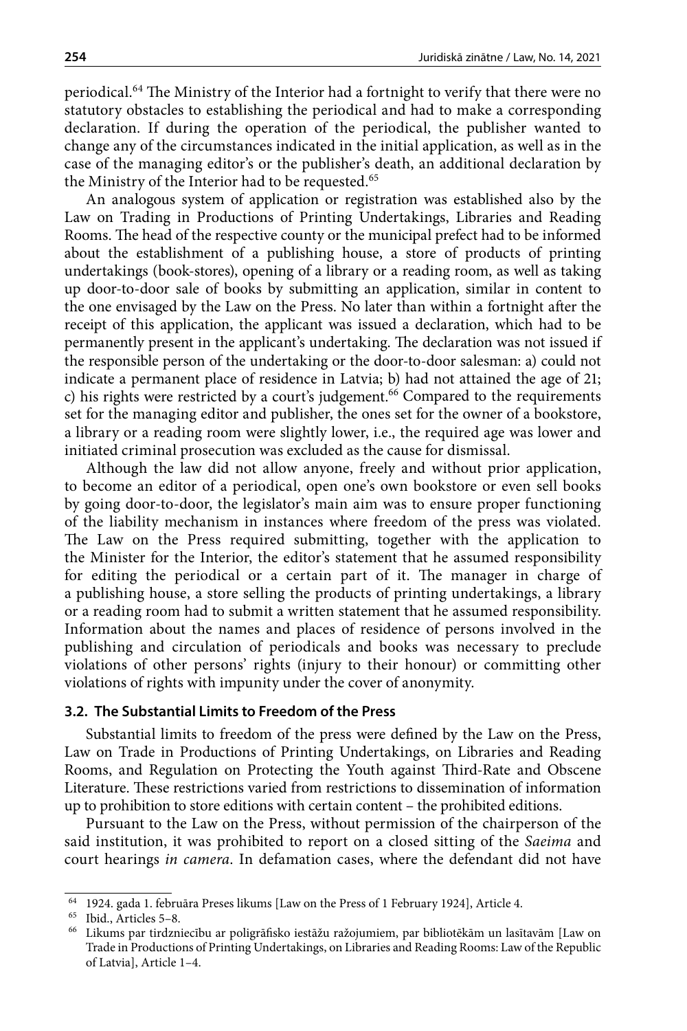<span id="page-13-0"></span>periodical.64 The Ministry of the Interior had a fortnight to verify that there were no statutory obstacles to establishing the periodical and had to make a corresponding declaration. If during the operation of the periodical, the publisher wanted to change any of the circumstances indicated in the initial application, as well as in the case of the managing editor's or the publisher's death, an additional declaration by the Ministry of the Interior had to be requested.<sup>65</sup>

An analogous system of application or registration was established also by the Law on Trading in Productions of Printing Undertakings, Libraries and Reading Rooms. The head of the respective county or the municipal prefect had to be informed about the establishment of a publishing house, a store of products of printing undertakings (book-stores), opening of a library or a reading room, as well as taking up door-to-door sale of books by submitting an application, similar in content to the one envisaged by the Law on the Press. No later than within a fortnight after the receipt of this application, the applicant was issued a declaration, which had to be permanently present in the applicant's undertaking. The declaration was not issued if the responsible person of the undertaking or the door-to-door salesman: a) could not indicate a permanent place of residence in Latvia; b) had not attained the age of 21; c) his rights were restricted by a court's judgement.<sup>66</sup> Compared to the requirements set for the managing editor and publisher, the ones set for the owner of a bookstore, a library or a reading room were slightly lower, i.e., the required age was lower and initiated criminal prosecution was excluded as the cause for dismissal.

Although the law did not allow anyone, freely and without prior application, to become an editor of a periodical, open one's own bookstore or even sell books by going door-to-door, the legislator's main aim was to ensure proper functioning of the liability mechanism in instances where freedom of the press was violated. The Law on the Press required submitting, together with the application to the Minister for the Interior, the editor's statement that he assumed responsibility for editing the periodical or a certain part of it. The manager in charge of a publishing house, a store selling the products of printing undertakings, a library or a reading room had to submit a written statement that he assumed responsibility. Information about the names and places of residence of persons involved in the publishing and circulation of periodicals and books was necessary to preclude violations of other persons' rights (injury to their honour) or committing other violations of rights with impunity under the cover of anonymity.

## **3.2. The Substantial Limits to Freedom of the Press**

Substantial limits to freedom of the press were defined by the Law on the Press, Law on Trade in Productions of Printing Undertakings, on Libraries and Reading Rooms, and Regulation on Protecting the Youth against Third-Rate and Obscene Literature. These restrictions varied from restrictions to dissemination of information up to prohibition to store editions with certain content – the prohibited editions.

Pursuant to the Law on the Press, without permission of the chairperson of the said institution, it was prohibited to report on a closed sitting of the *Saeima* and court hearings *in camera*. In defamation cases, where the defendant did not have

 $^{64}$  1924. gada 1. februāra Preses likums [Law on the Press of 1 February 1924], Article 4.  $^{65}$  Ibid., Articles 5–8.

<sup>&</sup>lt;sup>66</sup> Likums par tirdzniecību ar poligrāfisko iestāžu ražojumiem, par bibliotēkām un lasītavām [Law on Trade in Productions of Printing Undertakings, on Libraries and Reading Rooms: Law of the Republic of Latvia], Article 1–4.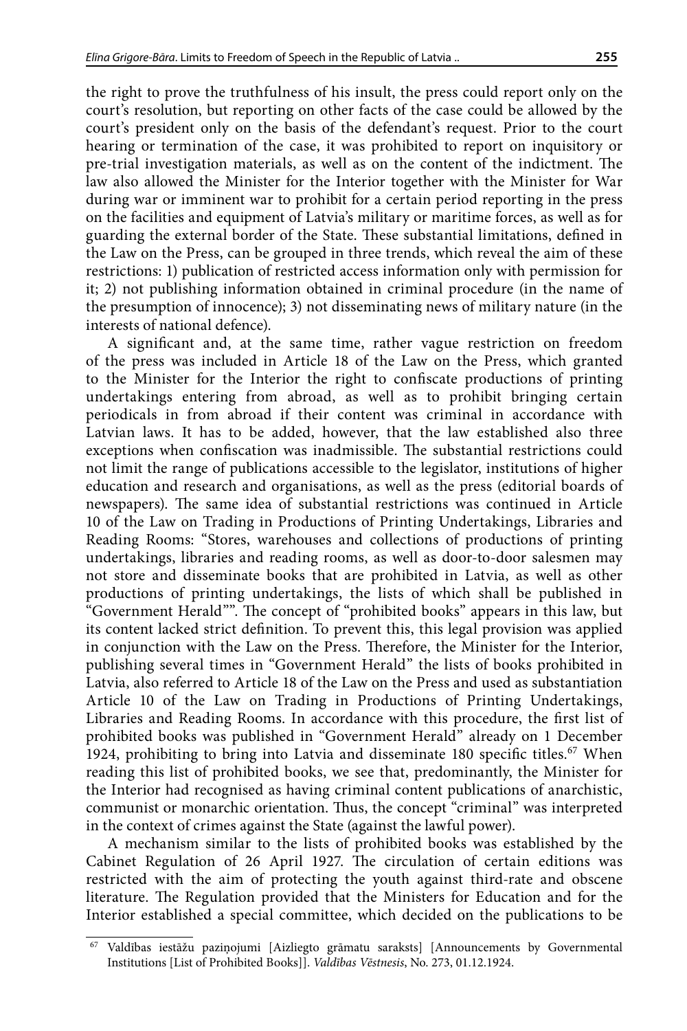the right to prove the truthfulness of his insult, the press could report only on the court's resolution, but reporting on other facts of the case could be allowed by the court's president only on the basis of the defendant's request. Prior to the court hearing or termination of the case, it was prohibited to report on inquisitory or pre-trial investigation materials, as well as on the content of the indictment. The law also allowed the Minister for the Interior together with the Minister for War during war or imminent war to prohibit for a certain period reporting in the press on the facilities and equipment of Latvia's military or maritime forces, as well as for guarding the external border of the State. These substantial limitations, defined in the Law on the Press, can be grouped in three trends, which reveal the aim of these restrictions: 1) publication of restricted access information only with permission for it; 2) not publishing information obtained in criminal procedure (in the name of the presumption of innocence); 3) not disseminating news of military nature (in the interests of national defence).

A significant and, at the same time, rather vague restriction on freedom of the press was included in Article 18 of the Law on the Press, which granted to the Minister for the Interior the right to confiscate productions of printing undertakings entering from abroad, as well as to prohibit bringing certain periodicals in from abroad if their content was criminal in accordance with Latvian laws. It has to be added, however, that the law established also three exceptions when confiscation was inadmissible. The substantial restrictions could not limit the range of publications accessible to the legislator, institutions of higher education and research and organisations, as well as the press (editorial boards of newspapers). The same idea of substantial restrictions was continued in Article 10 of the Law on Trading in Productions of Printing Undertakings, Libraries and Reading Rooms: "Stores, warehouses and collections of productions of printing undertakings, libraries and reading rooms, as well as door-to-door salesmen may not store and disseminate books that are prohibited in Latvia, as well as other productions of printing undertakings, the lists of which shall be published in "Government Herald"". The concept of "prohibited books" appears in this law, but its content lacked strict definition. To prevent this, this legal provision was applied in conjunction with the Law on the Press. Therefore, the Minister for the Interior, publishing several times in "Government Herald" the lists of books prohibited in Latvia, also referred to Article 18 of the Law on the Press and used as substantiation Article 10 of the Law on Trading in Productions of Printing Undertakings, Libraries and Reading Rooms. In accordance with this procedure, the first list of prohibited books was published in "Government Herald" already on 1 December 1924, prohibiting to bring into Latvia and disseminate 180 specific titles.<sup>67</sup> When reading this list of prohibited books, we see that, predominantly, the Minister for the Interior had recognised as having criminal content publications of anarchistic, communist or monarchic orientation. Thus, the concept "criminal" was interpreted in the context of crimes against the State (against the lawful power).

A mechanism similar to the lists of prohibited books was established by the Cabinet Regulation of 26 April 1927. The circulation of certain editions was restricted with the aim of protecting the youth against third-rate and obscene literature. The Regulation provided that the Ministers for Education and for the Interior established a special committee, which decided on the publications to be

<sup>67</sup> Valdības iestāžu paziņojumi [Aizliegto grāmatu saraksts] [Announcements by Governmental Institutions [List of Prohibited Books]]. *Valdības Vēstnesis*, No. 273, 01.12.1924.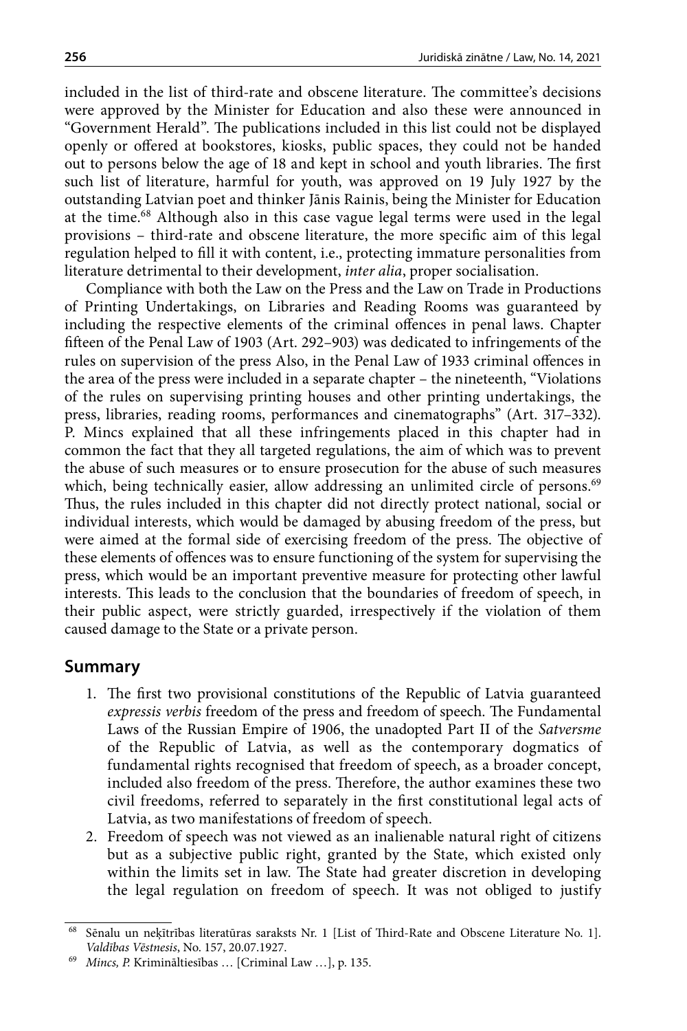<span id="page-15-0"></span>included in the list of third-rate and obscene literature. The committee's decisions were approved by the Minister for Education and also these were announced in "Government Herald". The publications included in this list could not be displayed openly or offered at bookstores, kiosks, public spaces, they could not be handed out to persons below the age of 18 and kept in school and youth libraries. The first such list of literature, harmful for youth, was approved on 19 July 1927 by the outstanding Latvian poet and thinker Jānis Rainis, being the Minister for Education at the time.68 Although also in this case vague legal terms were used in the legal provisions – third-rate and obscene literature, the more specific aim of this legal regulation helped to fill it with content, i.e., protecting immature personalities from literature detrimental to their development, *inter alia*, proper socialisation.

Compliance with both the Law on the Press and the Law on Trade in Productions of Printing Undertakings, on Libraries and Reading Rooms was guaranteed by including the respective elements of the criminal offences in penal laws. Chapter fifteen of the Penal Law of 1903 (Art. 292–903) was dedicated to infringements of the rules on supervision of the press Also, in the Penal Law of 1933 criminal offences in the area of the press were included in a separate chapter – the nineteenth, "Violations of the rules on supervising printing houses and other printing undertakings, the press, libraries, reading rooms, performances and cinematographs" (Art. 317–332). P. Mincs explained that all these infringements placed in this chapter had in common the fact that they all targeted regulations, the aim of which was to prevent the abuse of such measures or to ensure prosecution for the abuse of such measures which, being technically easier, allow addressing an unlimited circle of persons.<sup>69</sup> Thus, the rules included in this chapter did not directly protect national, social or individual interests, which would be damaged by abusing freedom of the press, but were aimed at the formal side of exercising freedom of the press. The objective of these elements of offences was to ensure functioning of the system for supervising the press, which would be an important preventive measure for protecting other lawful interests. This leads to the conclusion that the boundaries of freedom of speech, in their public aspect, were strictly guarded, irrespectively if the violation of them caused damage to the State or a private person.

# **Summary**

- 1. The first two provisional constitutions of the Republic of Latvia guaranteed *expressis verbis* freedom of the press and freedom of speech. The Fundamental Laws of the Russian Empire of 1906, the unadopted Part II of the *Satversme* of the Republic of Latvia, as well as the contemporary dogmatics of fundamental rights recognised that freedom of speech, as a broader concept, included also freedom of the press. Therefore, the author examines these two civil freedoms, referred to separately in the first constitutional legal acts of Latvia, as two manifestations of freedom of speech.
- 2. Freedom of speech was not viewed as an inalienable natural right of citizens but as a subjective public right, granted by the State, which existed only within the limits set in law. The State had greater discretion in developing the legal regulation on freedom of speech. It was not obliged to justify

<sup>68</sup> Sēnalu un neķītrības literatūras saraksts Nr. 1 [List of Third-Rate and Obscene Literature No. 1]. *Valdības Vēstnesis*, No. 157, 20.07.1927.

<sup>69</sup> *Mincs, P.* Krimināltiesības … [Criminal Law …], p. 135.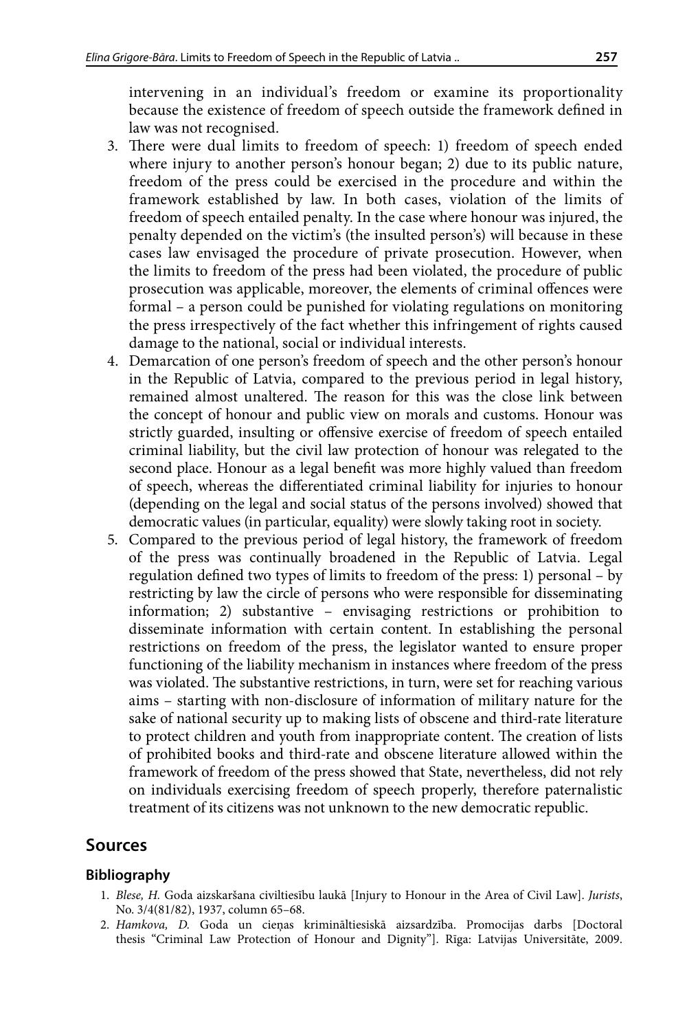<span id="page-16-0"></span>intervening in an individual's freedom or examine its proportionality because the existence of freedom of speech outside the framework defined in law was not recognised.

- 3. There were dual limits to freedom of speech: 1) freedom of speech ended where injury to another person's honour began; 2) due to its public nature, freedom of the press could be exercised in the procedure and within the framework established by law. In both cases, violation of the limits of freedom of speech entailed penalty. In the case where honour was injured, the penalty depended on the victim's (the insulted person's) will because in these cases law envisaged the procedure of private prosecution. However, when the limits to freedom of the press had been violated, the procedure of public prosecution was applicable, moreover, the elements of criminal offences were formal – a person could be punished for violating regulations on monitoring the press irrespectively of the fact whether this infringement of rights caused damage to the national, social or individual interests.
- 4. Demarcation of one person's freedom of speech and the other person's honour in the Republic of Latvia, compared to the previous period in legal history, remained almost unaltered. The reason for this was the close link between the concept of honour and public view on morals and customs. Honour was strictly guarded, insulting or offensive exercise of freedom of speech entailed criminal liability, but the civil law protection of honour was relegated to the second place. Honour as a legal benefit was more highly valued than freedom of speech, whereas the differentiated criminal liability for injuries to honour (depending on the legal and social status of the persons involved) showed that democratic values (in particular, equality) were slowly taking root in society.
- 5. Compared to the previous period of legal history, the framework of freedom of the press was continually broadened in the Republic of Latvia. Legal regulation defined two types of limits to freedom of the press: 1) personal – by restricting by law the circle of persons who were responsible for disseminating information; 2) substantive – envisaging restrictions or prohibition to disseminate information with certain content. In establishing the personal restrictions on freedom of the press, the legislator wanted to ensure proper functioning of the liability mechanism in instances where freedom of the press was violated. The substantive restrictions, in turn, were set for reaching various aims – starting with non-disclosure of information of military nature for the sake of national security up to making lists of obscene and third-rate literature to protect children and youth from inappropriate content. The creation of lists of prohibited books and third-rate and obscene literature allowed within the framework of freedom of the press showed that State, nevertheless, did not rely on individuals exercising freedom of speech properly, therefore paternalistic treatment of its citizens was not unknown to the new democratic republic.

# **Sources**

# **Bibliography**

- 1. *Blese, H.* Goda aizskaršana civiltiesību laukā [Injury to Honour in the Area of Civil Law]. *Jurists*, No. 3/4(81/82), 1937, column 65–68.
- 2. *Hamkova, D.* Goda un cieņas krimināltiesiskā aizsardzība. Promocijas darbs [Doctoral thesis "Criminal Law Protection of Honour and Dignity"]. Rīga: Latvijas Universitāte, 2009.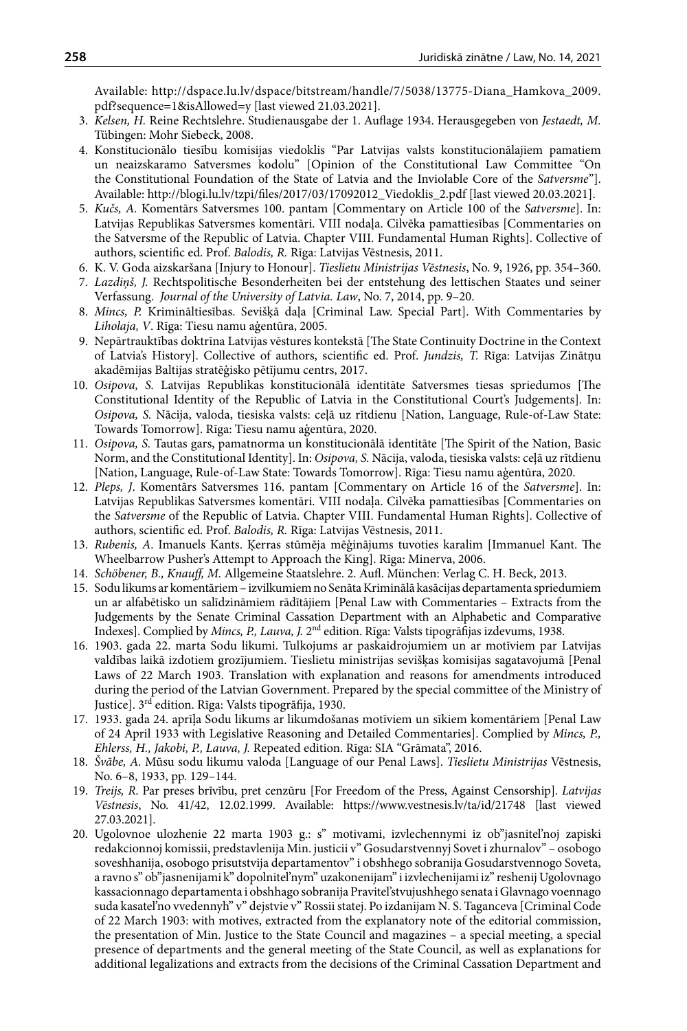<span id="page-17-0"></span>Available: http://dspace.lu.lv/dspace/bitstream/handle/7/5038/13775-Diana\_Hamkova\_2009. pdf?sequence=1&isAllowed=y [last viewed 21.03.2021].

- 3. *Kelsen, H.* Reine Rechtslehre. Studienausgabe der 1. Auflage 1934. Herausgegeben von *Jestaedt, M.* Tübingen: Mohr Siebeck, 2008.
- 4. Konstitucionālo tiesību komisijas viedoklis "Par Latvijas valsts konstitucionālajiem pamatiem un neaizskaramo Satversmes kodolu" [Opinion of the Constitutional Law Committee "On the Constitutional Foundation of the State of Latvia and the Inviolable Core of the *Satversme*"]. Available: http://blogi.lu.lv/tzpi/files/2017/03/17092012\_Viedoklis\_2.pdf [last viewed 20.03.2021].
- 5. *Kučs, A.* Komentārs Satversmes 100. pantam [Commentary on Article 100 of the *Satversme*]. In: Latvijas Republikas Satversmes komentāri. VIII nodaļa. Cilvēka pamattiesības [Commentaries on the Satversme of the Republic of Latvia. Chapter VIII. Fundamental Human Rights]. Collective of authors, scientific ed. Prof. *Balodis, R.* Rīga: Latvijas Vēstnesis, 2011.
- 6. K. V. Goda aizskaršana [Injury to Honour]. *Tieslietu Ministrijas Vēstnesis*, No. 9, 1926, pp. 354–360.
- 7. *Lazdiņš, J.* Rechtspolitische Besonderheiten bei der entstehung des lettischen Staates und seiner Verfassung. *Journal of the University of Latvia. Law*, No. 7, 2014, pp. 9–20.
- 8. *Mincs, P.* Krimināltiesības. Sevišķā daļa [Criminal Law. Special Part]. With Commentaries by *Liholaja, V*. Rīga: Tiesu namu aģentūra, 2005.
- 9. Nepārtrauktības doktrīna Latvijas vēstures kontekstā [The State Continuity Doctrine in the Context of Latvia's History]. Collective of authors, scientific ed. Prof. *Jundzis, T.* Rīga: Latvijas Zinātņu akadēmijas Baltijas stratēģisko pētījumu centrs, 2017.
- 10. *Osipova, S.* Latvijas Republikas konstitucionālā identitāte Satversmes tiesas spriedumos [The Constitutional Identity of the Republic of Latvia in the Constitutional Court's Judgements]. In: *Osipova, S.* Nācija, valoda, tiesiska valsts: ceļā uz rītdienu [Nation, Language, Rule-of-Law State: Towards Tomorrow]. Rīga: Tiesu namu aģentūra, 2020.
- 11. *Osipova, S.* Tautas gars, pamatnorma un konstitucionālā identitāte [The Spirit of the Nation, Basic Norm, and the Constitutional Identity]. In: *Osipova, S.* Nācija, valoda, tiesiska valsts: ceļā uz rītdienu [Nation, Language, Rule-of-Law State: Towards Tomorrow]. Rīga: Tiesu namu aģentūra, 2020.
- 12. *Pleps, J*. Komentārs Satversmes 116. pantam [Commentary on Article 16 of the *Satversme*]. In: Latvijas Republikas Satversmes komentāri. VIII nodaļa. Cilvēka pamattiesības [Commentaries on the *Satversme* of the Republic of Latvia. Chapter VIII. Fundamental Human Rights]. Collective of authors, scientific ed. Prof. *Balodis, R.* Rīga: Latvijas Vēstnesis, 2011.
- 13. *Rubenis, A*. Imanuels Kants. Ķerras stūmēja mēģinājums tuvoties karalim [Immanuel Kant. The Wheelbarrow Pusher's Attempt to Approach the King]. Rīga: Minerva, 2006.
- 14. *Schöbener, B., Knauff, M.* Allgemeine Staatslehre. 2. Aufl. München: Verlag C. H. Beck, 2013.
- 15. Sodu likums ar komentāriem izvilkumiem no Senāta Kriminālā kasācijas departamenta spriedumiem un ar alfabētisko un salīdzināmiem rādītājiem [Penal Law with Commentaries – Extracts from the Judgements by the Senate Criminal Cassation Department with an Alphabetic and Comparative Indexes]. Complied by *Mincs, P., Lauva, J.* 2nd edition. Rīga: Valsts tipogrāfijas izdevums, 1938.
- 16. 1903. gada 22. marta Sodu likumi. Tulkojums ar paskaidrojumiem un ar motīviem par Latvijas valdības laikā izdotiem grozījumiem. Tieslietu ministrijas sevišķas komisijas sagatavojumā [Penal Laws of 22 March 1903. Translation with explanation and reasons for amendments introduced during the period of the Latvian Government. Prepared by the special committee of the Ministry of Justice]. 3rd edition. Rīga: Valsts tipogrāfija, 1930.
- 17. 1933. gada 24. aprīļa Sodu likums ar likumdošanas motīviem un sīkiem komentāriem [Penal Law of 24 April 1933 with Legislative Reasoning and Detailed Commentaries]. Complied by *Mincs, P., Ehlerss, H., Jakobi, P., Lauva, J.* Repeated edition. Rīga: SIA "Grāmata", 2016.
- 18. *Švābe, A.* Mūsu sodu likumu valoda [Language of our Penal Laws]. *Tieslietu Ministrijas* Vēstnesis, No. 6–8, 1933, pp. 129–144.
- 19. *Treijs, R*. Par preses brīvību, pret cenzūru [For Freedom of the Press, Against Censorship]. *Latvijas Vēstnesis*, No. 41/42, 12.02.1999. Available: https://www.vestnesis.lv/ta/id/21748 [last viewed 27.03.2021].
- 20. Ugolovnoe ulozhenie 22 marta 1903 g.: s" motivami, izvlechennymi iz ob"jasnitel'noj zapiski redakcionnoj komissii, predstavlenija Min. justicii v" Gosudarstvennyj Sovet i zhurnalov" – osobogo soveshhanija, osobogo prisutstvija departamentov" i obshhego sobranija Gosudarstvennogo Soveta, a ravno s" ob"jasnenijami k" dopolnitel'nym" uzakonenijam" i izvlechenijami iz" reshenij Ugolovnago kassacionnago departamenta i obshhago sobranija Pravitel'stvujushhego senata i Glavnago voennago suda kasatel'no vvedennyh" v" dejstvie v" Rossii statej. Po izdanijam N. S. Taganceva [Criminal Code of 22 March 1903: with motives, extracted from the explanatory note of the editorial commission, the presentation of Min. Justice to the State Council and magazines – a special meeting, a special presence of departments and the general meeting of the State Council, as well as explanations for additional legalizations and extracts from the decisions of the Criminal Cassation Department and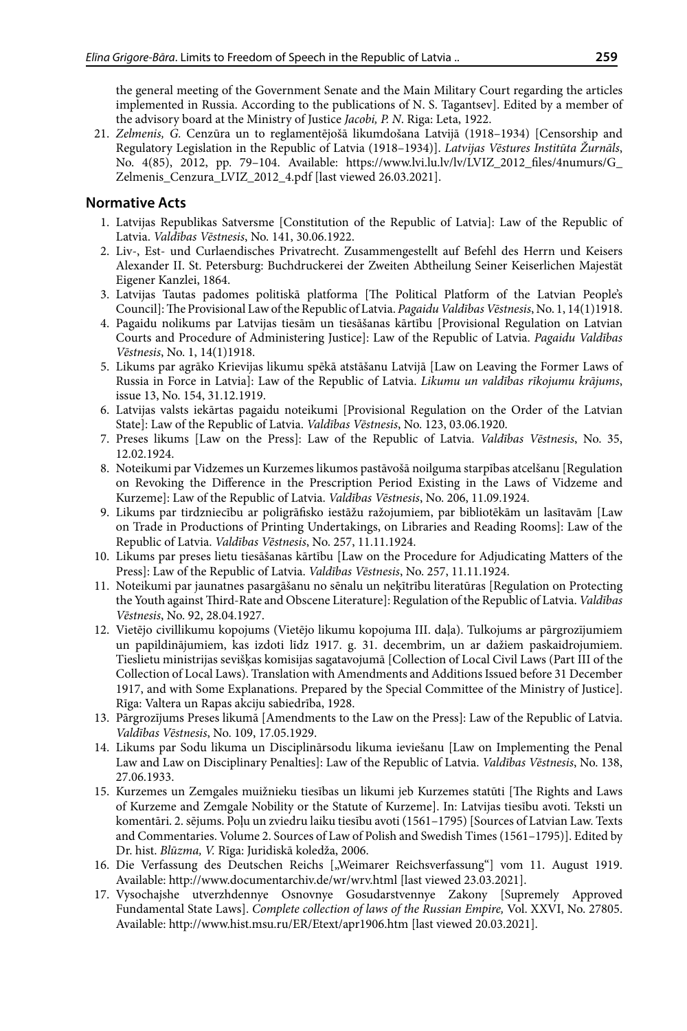<span id="page-18-0"></span>the general meeting of the Government Senate and the Main Military Court regarding the articles implemented in Russia. According to the publications of N. S. Tagantsev]. Edited by a member of the advisory board at the Ministry of Justice *Jacobi, P. N*. Riga: Leta, 1922.

21. *Zelmenis, G.* Cenzūra un to reglamentējošā likumdošana Latvijā (1918–1934) [Censorship and Regulatory Legislation in the Republic of Latvia (1918–1934)]. *Latvijas Vēstures Institūta Žurnāls*, No. 4(85), 2012, pp. 79–104. Available: https://www.lvi.lu.lv/lv/LVIZ\_2012\_files/4numurs/G\_ Zelmenis\_Cenzura\_LVIZ\_2012\_4.pdf [last viewed 26.03.2021].

### **Normative Acts**

- 1. Latvijas Republikas Satversme [Constitution of the Republic of Latvia]: Law of the Republic of Latvia. *Valdības Vēstnesis*, No. 141, 30.06.1922.
- 2. Liv-, Est- und Curlaendisches Privatrecht. Zusammengestellt auf Befehl des Herrn und Keisers Alexander II. St. Petersburg: Buchdruckerei der Zweiten Abtheilung Seiner Keiserlichen Majestät Eigener Kanzlei, 1864.
- 3. Latvijas Tautas padomes politiskā platforma [The Political Platform of the Latvian People's Council]: The Provisional Law of the Republic of Latvia. *Pagaidu Valdības Vēstnesis*, No. 1, 14(1)1918.
- 4. Pagaidu nolikums par Latvijas tiesām un tiesāšanas kārtību [Provisional Regulation on Latvian Courts and Procedure of Administering Justice]: Law of the Republic of Latvia. *Pagaidu Valdības Vēstnesis*, No. 1, 14(1)1918.
- 5. Likums par agrāko Krievijas likumu spēkā atstāšanu Latvijā [Law on Leaving the Former Laws of Russia in Force in Latvia]: Law of the Republic of Latvia. *Likumu un valdības rīkojumu krājums*, issue 13, No. 154, 31.12.1919.
- 6. Latvijas valsts iekārtas pagaidu noteikumi [Provisional Regulation on the Order of the Latvian State]: Law of the Republic of Latvia. *Valdības Vēstnesis*, No. 123, 03.06.1920.
- 7. Preses likums [Law on the Press]: Law of the Republic of Latvia. *Valdības Vēstnesis*, No. 35, 12.02.1924.
- 8. Noteikumi par Vidzemes un Kurzemes likumos pastāvošā noilguma starpības atcelšanu [Regulation on Revoking the Difference in the Prescription Period Existing in the Laws of Vidzeme and Kurzeme]: Law of the Republic of Latvia. *Valdības Vēstnesis*, No. 206, 11.09.1924.
- 9. Likums par tirdzniecību ar poligrāfisko iestāžu ražojumiem, par bibliotēkām un lasītavām [Law on Trade in Productions of Printing Undertakings, on Libraries and Reading Rooms]: Law of the Republic of Latvia. *Valdības Vēstnesis*, No. 257, 11.11.1924.
- 10. Likums par preses lietu tiesāšanas kārtību [Law on the Procedure for Adjudicating Matters of the Press]: Law of the Republic of Latvia. *Valdības Vēstnesis*, No. 257, 11.11.1924.
- 11. Noteikumi par jaunatnes pasargāšanu no sēnalu un neķītrību literatūras [Regulation on Protecting the Youth against Third-Rate and Obscene Literature]: Regulation of the Republic of Latvia. *Valdības Vēstnesis*, No. 92, 28.04.1927.
- 12. Vietējo civillikumu kopojums (Vietējo likumu kopojuma III. daļa). Tulkojums ar pārgrozījumiem un papildinājumiem, kas izdoti līdz 1917. g. 31. decembrim, un ar dažiem paskaidrojumiem. Tieslietu ministrijas sevišķas komisijas sagatavojumā [Collection of Local Civil Laws (Part III of the Collection of Local Laws). Translation with Amendments and Additions Issued before 31 December 1917, and with Some Explanations. Prepared by the Special Committee of the Ministry of Justice]. Rīga: Valtera un Rapas akciju sabiedrība, 1928.
- 13. Pārgrozījums Preses likumā [Amendments to the Law on the Press]: Law of the Republic of Latvia. *Valdības Vēstnesis*, No. 109, 17.05.1929.
- 14. Likums par Sodu likuma un Disciplinārsodu likuma ieviešanu [Law on Implementing the Penal Law and Law on Disciplinary Penalties]: Law of the Republic of Latvia. *Valdības Vēstnesis*, No. 138, 27.06.1933.
- 15. Kurzemes un Zemgales muižnieku tiesības un likumi jeb Kurzemes statūti [The Rights and Laws of Kurzeme and Zemgale Nobility or the Statute of Kurzeme]. In: Latvijas tiesību avoti. Teksti un komentāri. 2. sējums. Poļu un zviedru laiku tiesību avoti (1561–1795) [Sources of Latvian Law. Texts and Commentaries. Volume 2. Sources of Law of Polish and Swedish Times (1561–1795)]. Edited by Dr. hist. *Blūzma, V.* Rīga: Juridiskā koledža, 2006.
- 16. Die Verfassung des Deutschen Reichs ["Weimarer Reichsverfassung"] vom 11. August 1919. Available: http://www.documentarchiv.de/wr/wrv.html [last viewed 23.03.2021].
- 17. Vysochajshe utverzhdennye Osnovnye Gosudarstvennye Zakony [Supremely Approved Fundamental State Laws]. *Complete collection of laws of the Russian Empire,* Vol. XXVI, No. 27805. Available: http://www.hist.msu.ru/ER/Etext/apr1906.htm [last viewed 20.03.2021].